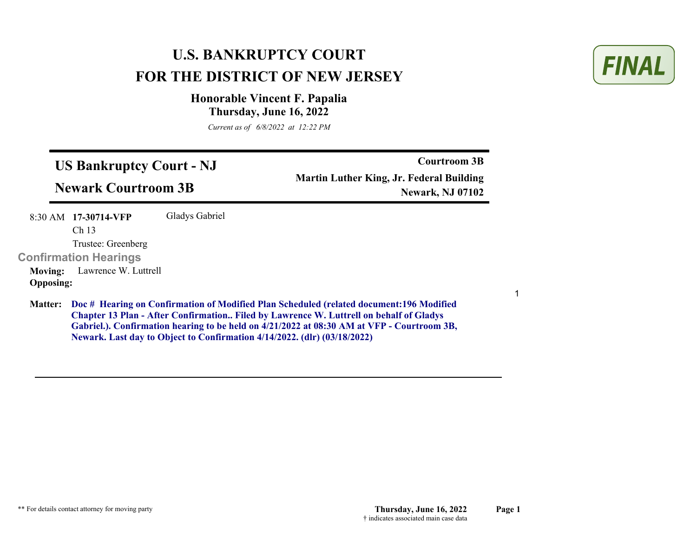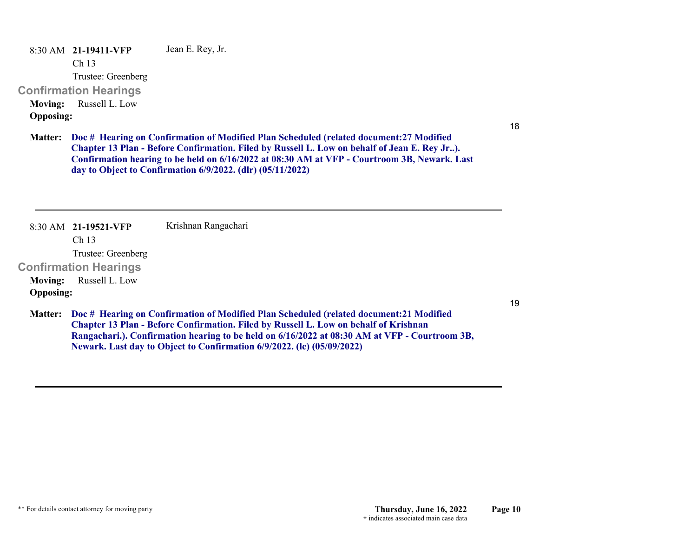8:30 AM **21-19411-VFP**  Jean E. Rey, Jr.

Ch 13

Trustee: Greenberg

## **Confirmation Hearings**

**Moving:** Russell L. Low **Opposing:**

18

19

**Doc # Hearing on Confirmation of Modified Plan Scheduled (related document:27 Modified Matter: Chapter 13 Plan - Before Confirmation. Filed by Russell L. Low on behalf of Jean E. Rey Jr..). Confirmation hearing to be held on 6/16/2022 at 08:30 AM at VFP - Courtroom 3B, Newark. Last day to Object to Confirmation 6/9/2022. (dlr) (05/11/2022)**

8:30 AM **21-19521-VFP**  Ch 13 Trustee: Greenberg **Confirmation Hearings**  Krishnan Rangachari **Moving:** Russell L. Low **Opposing:**

**Doc # Hearing on Confirmation of Modified Plan Scheduled (related document:21 Modified Matter: Chapter 13 Plan - Before Confirmation. Filed by Russell L. Low on behalf of Krishnan Rangachari.). Confirmation hearing to be held on 6/16/2022 at 08:30 AM at VFP - Courtroom 3B, Newark. Last day to Object to Confirmation 6/9/2022. (lc) (05/09/2022)**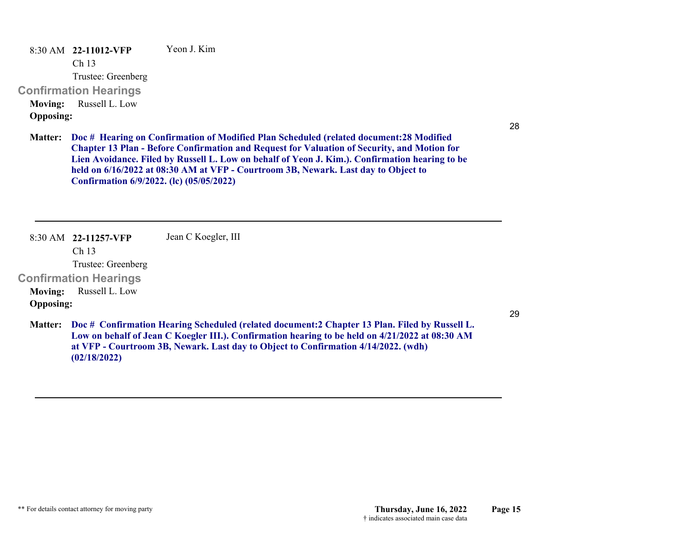8:30 AM **22-11012-VFP**  Ch 13 Trustee: Greenberg **Confirmation Hearings**  Yeon J. Kim**Moving:** Russell L. Low **Opposing:**

28

**Doc # Hearing on Confirmation of Modified Plan Scheduled (related document:28 Modified Matter: Chapter 13 Plan - Before Confirmation and Request for Valuation of Security, and Motion for Lien Avoidance. Filed by Russell L. Low on behalf of Yeon J. Kim.). Confirmation hearing to be held on 6/16/2022 at 08:30 AM at VFP - Courtroom 3B, Newark. Last day to Object to Confirmation 6/9/2022. (lc) (05/05/2022)**

8:30 AM **22-11257-VFP**  Ch 13 Trustee: Greenberg **Confirmation Hearings**  Jean C Koegler, III **Moving:** Russell L. Low **Opposing: Doc # Confirmation Hearing Scheduled (related document:2 Chapter 13 Plan. Filed by Russell L. Matter: Low on behalf of Jean C Koegler III.). Confirmation hearing to be held on 4/21/2022 at 08:30 AM at VFP - Courtroom 3B, Newark. Last day to Object to Confirmation 4/14/2022. (wdh) (02/18/2022)**

29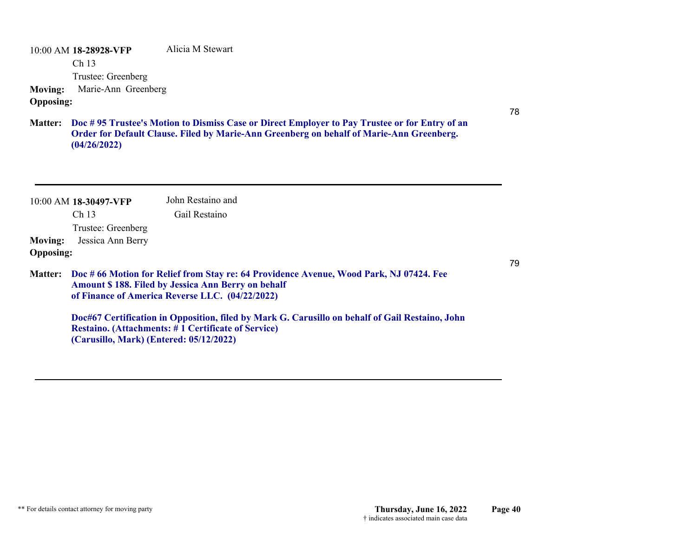10:00 AM **18-28928-VFP**  Ch 13 Trustee: Greenberg Alicia M Stewart **Moving:** Marie-Ann Greenberg **Opposing:**

**Doc # 95 Trustee's Motion to Dismiss Case or Direct Employer to Pay Trustee or for Entry of an Matter: Order for Default Clause. Filed by Marie-Ann Greenberg on behalf of Marie-Ann Greenberg. (04/26/2022)**

| <b>Moving:</b><br><b>Opposing:</b> | $10:00$ AM 18-30497-VFP<br>Ch <sub>13</sub><br>Trustee: Greenberg<br>Jessica Ann Berry | John Restaino and<br>Gail Restaino                                                                           | <b>SRVWFROS</b>                                                                                 |
|------------------------------------|----------------------------------------------------------------------------------------|--------------------------------------------------------------------------------------------------------------|-------------------------------------------------------------------------------------------------|
| <b>Matter:</b>                     |                                                                                        | <b>Amount \$188. Filed by Jessica Ann Berry on behalf</b><br>of Finance of America Reverse LLC. (04/22/2022) | Doc # 66 Motion for Relief from Stay re: 64 Providence Avenue, Wood Park, NJ 07424. Fee         |
|                                    | (Carusillo, Mark) (Entered: 05/12/2022)                                                | <b>Restaino.</b> (Attachments: #1 Certificate of Service)                                                    | Doc#67 Certification in Opposition, filed by Mark G. Carusillo on behalf of Gail Restaino, John |

78

-0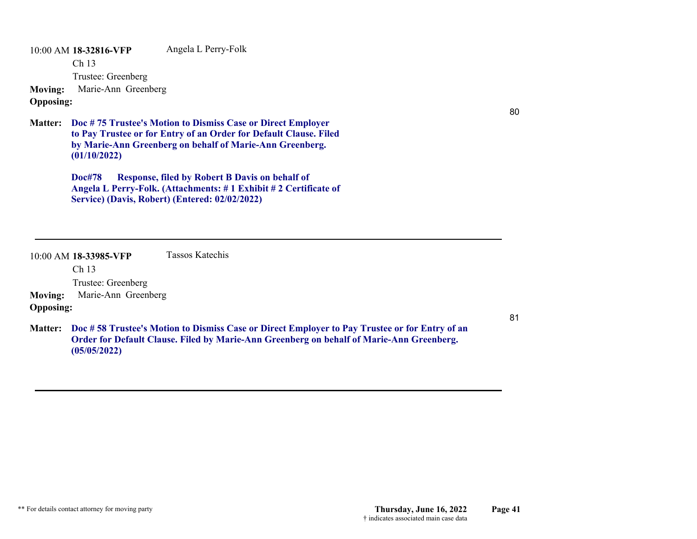10:00 AM **18-32816-VFP**  Ch 13 Trustee: Greenberg Angela L Perry-Folk **Moving:** Marie-Ann Greenberg **Opposing:**

# JM

**Doc # 75 Trustee's Motion to Dismiss Case or Direct Employer Matter: to Pay Trustee or for Entry of an Order for Default Clause. Filed by Marie-Ann Greenberg on behalf of Marie-Ann Greenberg. (01/10/2022)**

> **Doc#78 Response, filed by Robert B Davis on behalf of Angela L Perry-Folk. (Attachments: # 1 Exhibit # 2 Certificate of Service) (Davis, Robert) (Entered: 02/02/2022)**

80

|                  | $10:00$ AM 18-33985-VFP | Tassos Katechis                                                                                                                                                                           |            |
|------------------|-------------------------|-------------------------------------------------------------------------------------------------------------------------------------------------------------------------------------------|------------|
|                  | Ch <sub>13</sub>        |                                                                                                                                                                                           |            |
|                  | Trustee: Greenberg      |                                                                                                                                                                                           | <b>JVS</b> |
| <b>Moving:</b>   | Marie-Ann Greenberg     |                                                                                                                                                                                           |            |
| <b>Opposing:</b> |                         |                                                                                                                                                                                           |            |
| <b>Matter:</b>   | (05/05/2022)            | Doc #58 Trustee's Motion to Dismiss Case or Direct Employer to Pay Trustee or for Entry of an<br>Order for Default Clause. Filed by Marie-Ann Greenberg on behalf of Marie-Ann Greenberg. |            |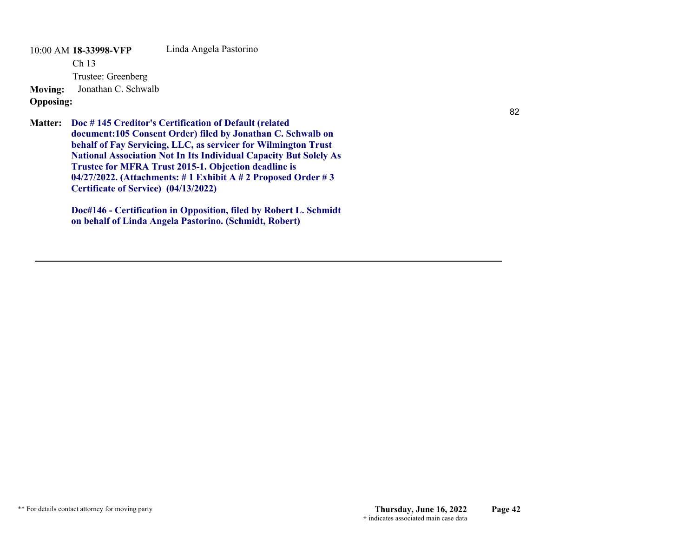10:00 AM **18-33998-VFP**  Ch 13 Trustee: Greenberg Linda Angela Pastorino **Moving:** Jonathan C. Schwalb **Opposing:**

**Doc # 145 Creditor's Certification of Default (related Matter: document:105 Consent Order) filed by Jonathan C. Schwalb on behalf of Fay Servicing, LLC, as servicer for Wilmington Trust National Association Not In Its Individual Capacity But Solely As Trustee for MFRA Trust 2015-1. Objection deadline is 04/27/2022. (Attachments: # 1 Exhibit A # 2 Proposed Order # 3 Certificate of Service) (04/13/2022)**

> **Doc#146 - Certification in Opposition, filed by Robert L. Schmidt on behalf of Linda Angela Pastorino. (Schmidt, Robert)**

order & cos ok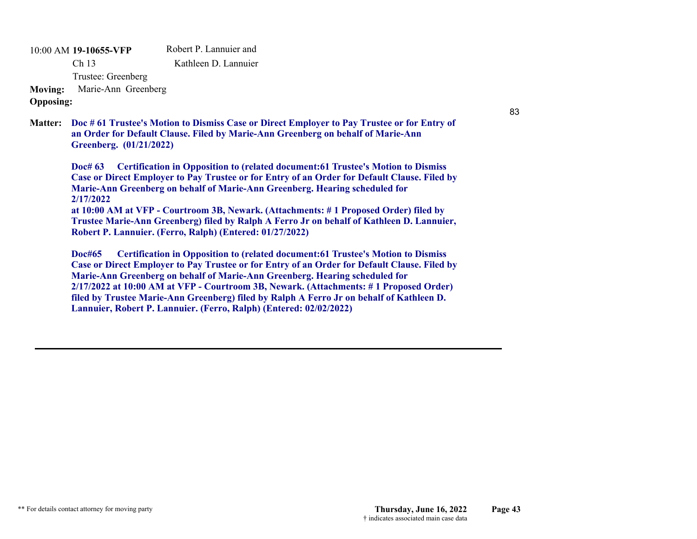10:00 AM **19-10655-VFP**  Ch 13 Trustee: Greenberg Robert P. Lannuier and Kathleen D. Lannuier**Moving:** Marie-Ann Greenberg **Opposing:**

#### **Doc # 61 Trustee's Motion to Dismiss Case or Direct Employer to Pay Trustee or for Entry of Matter: an Order for Default Clause. Filed by Marie-Ann Greenberg on behalf of Marie-Ann Greenberg. (01/21/2022)**

**Doc# 63 Certification in Opposition to (related document:61 Trustee's Motion to Dismiss Case or Direct Employer to Pay Trustee or for Entry of an Order for Default Clause. Filed by Marie-Ann Greenberg on behalf of Marie-Ann Greenberg. Hearing scheduled for 2/17/2022 at 10:00 AM at VFP - Courtroom 3B, Newark. (Attachments: # 1 Proposed Order) filed by** 

**Trustee Marie-Ann Greenberg) filed by Ralph A Ferro Jr on behalf of Kathleen D. Lannuier, Robert P. Lannuier. (Ferro, Ralph) (Entered: 01/27/2022)**

**Doc#65 Certification in Opposition to (related document:61 Trustee's Motion to Dismiss Case or Direct Employer to Pay Trustee or for Entry of an Order for Default Clause. Filed by Marie-Ann Greenberg on behalf of Marie-Ann Greenberg. Hearing scheduled for 2/17/2022 at 10:00 AM at VFP - Courtroom 3B, Newark. (Attachments: # 1 Proposed Order) filed by Trustee Marie-Ann Greenberg) filed by Ralph A Ferro Jr on behalf of Kathleen D. Lannuier, Robert P. Lannuier. (Ferro, Ralph) (Entered: 02/02/2022)**

JM

83

W|D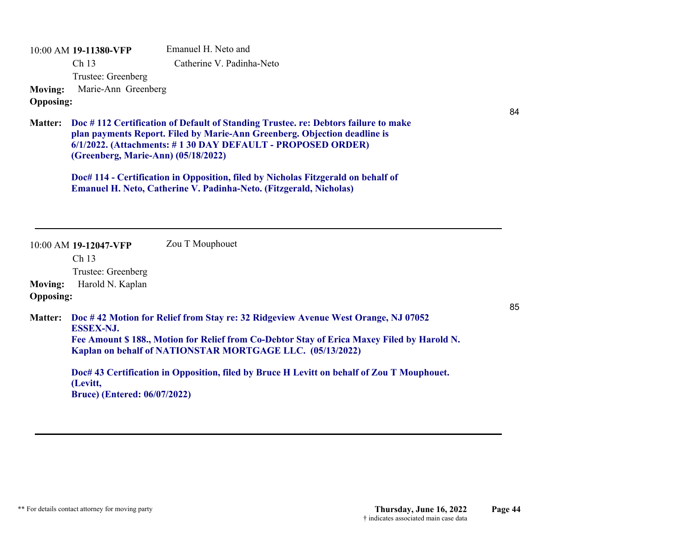|                                    | 10:00 AM 19-11380-VFP                            | Emanuel H. Neto and                                                                                                                                                                                                                          |    |
|------------------------------------|--------------------------------------------------|----------------------------------------------------------------------------------------------------------------------------------------------------------------------------------------------------------------------------------------------|----|
|                                    | Ch 13                                            | Catherine V. Padinha-Neto                                                                                                                                                                                                                    |    |
|                                    | Trustee: Greenberg                               | JM                                                                                                                                                                                                                                           |    |
| <b>Moving:</b><br><b>Opposing:</b> | Marie-Ann Greenberg                              |                                                                                                                                                                                                                                              |    |
| <b>Matter:</b>                     | (Greenberg, Marie-Ann) (05/18/2022)              | Doc #112 Certification of Default of Standing Trustee. re: Debtors failure to make<br>plan payments Report. Filed by Marie-Ann Greenberg. Objection deadline is<br>6/1/2022. (Attachments: #130 DAY DEFAULT - PROPOSED ORDER)                | 84 |
|                                    |                                                  | Doc# 114 - Certification in Opposition, filed by Nicholas Fitzgerald on behalf of<br><b>Emanuel H. Neto, Catherine V. Padinha-Neto. (Fitzgerald, Nicholas)</b>                                                                               |    |
|                                    | 10:00 AM 19-12047-VFP                            | Zou T Mouphouet                                                                                                                                                                                                                              |    |
|                                    | Ch 13                                            |                                                                                                                                                                                                                                              |    |
|                                    | Trustee: Greenberg<br>Harold N. Kaplan           |                                                                                                                                                                                                                                              |    |
| <b>Moving:</b><br><b>Opposing:</b> |                                                  |                                                                                                                                                                                                                                              |    |
| <b>Matter:</b>                     | <b>ESSEX-NJ.</b>                                 | Doc #42 Motion for Relief from Stay re: 32 Ridgeview Avenue West Orange, NJ 07052<br>Fee Amount \$188., Motion for Relief from Co-Debtor Stay of Erica Maxey Filed by Harold N.<br>Kaplan on behalf of NATIONSTAR MORTGAGE LLC. (05/13/2022) | 85 |
|                                    | (Levitt,<br><b>Bruce</b> ) (Entered: 06/07/2022) | Doc# 43 Certification in Opposition, filed by Bruce H Levitt on behalf of Zou T Mouphouet.                                                                                                                                                   |    |
|                                    | order & cos ok                                   |                                                                                                                                                                                                                                              |    |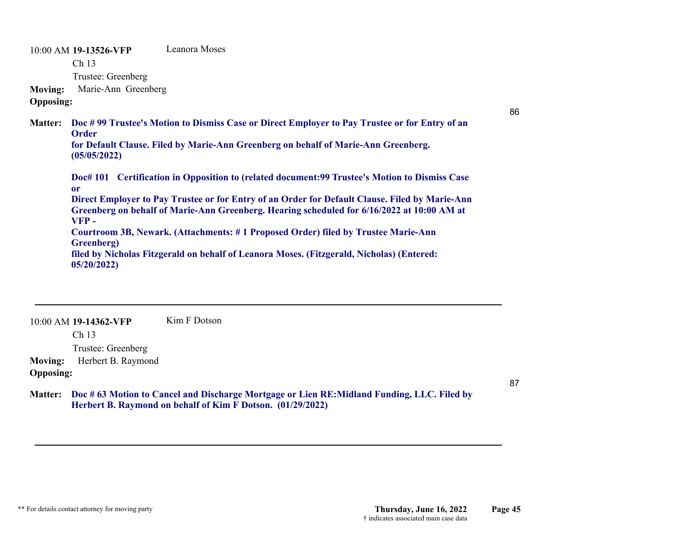10:00 AM **19-13526-VFP**  Ch 13 Trustee: Greenberg Leanora Moses**Moving:** Marie-Ann Greenberg **Opposing:** 86**Doc # 99 Trustee's Motion to Dismiss Case or Direct Employer to Pay Trustee or for Entry of an Matter: Order for Default Clause. Filed by Marie-Ann Greenberg on behalf of Marie-Ann Greenberg. (05/05/2022) Doc# 101 Certification in Opposition to (related document:99 Trustee's Motion to Dismiss Case or Direct Employer to Pay Trustee or for Entry of an Order for Default Clause. Filed by Marie-Ann Greenberg on behalf of Marie-Ann Greenberg. Hearing scheduled for 6/16/2022 at 10:00 AM at VFP - Courtroom 3B, Newark. (Attachments: # 1 Proposed Order) filed by Trustee Marie-Ann Greenberg) filed by Nicholas Fitzgerald on behalf of Leanora Moses. (Fitzgerald, Nicholas) (Entered: 05/20/2022)** JVS

10:00 AM **19-14362-VFP**  Ch 13 Trustee: Greenberg Kim F Dotson**Moving:** Herbert B. Raymond **Opposing: Doc # 63 Motion to Cancel and Discharge Mortgage or Lien RE:Midland Funding, LLC. Filed by Matter: Herbert B. Raymond on behalf of Kim F Dotson. (01/29/2022)** post conf  $# 6$ 

order & cos ok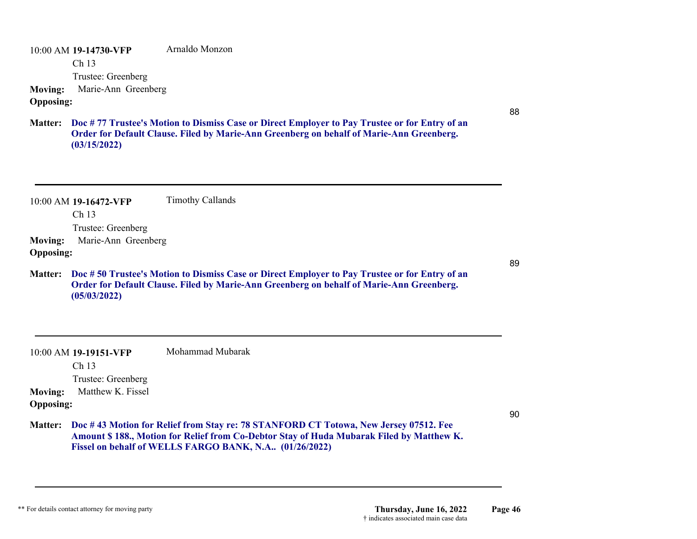10:00 AM **19-14730-VFP**  Ch 13 Trustee: Greenberg Arnaldo Monzon **Moving:** Marie-Ann Greenberg **Opposing:**

**Doc # 77 Trustee's Motion to Dismiss Case or Direct Employer to Pay Trustee or for Entry of an Matter: Order for Default Clause. Filed by Marie-Ann Greenberg on behalf of Marie-Ann Greenberg. (03/15/2022)**

|                                    | 10:00 AM 19-16472-VFP | <b>Timothy Callands</b>                                                                                                                                                                                                                      |    |
|------------------------------------|-----------------------|----------------------------------------------------------------------------------------------------------------------------------------------------------------------------------------------------------------------------------------------|----|
|                                    | Ch 13                 |                                                                                                                                                                                                                                              |    |
|                                    | Trustee: Greenberg    | JM                                                                                                                                                                                                                                           |    |
| <b>Moving:</b>                     | Marie-Ann Greenberg   |                                                                                                                                                                                                                                              |    |
| <b>Opposing:</b>                   |                       |                                                                                                                                                                                                                                              | 89 |
|                                    | (05/03/2022)          | Matter: Doc #50 Trustee's Motion to Dismiss Case or Direct Employer to Pay Trustee or for Entry of an<br>Order for Default Clause. Filed by Marie-Ann Greenberg on behalf of Marie-Ann Greenberg.                                            |    |
|                                    | 10:00 AM 19-19151-VFP | Mohammad Mubarak                                                                                                                                                                                                                             |    |
|                                    |                       |                                                                                                                                                                                                                                              |    |
|                                    | Ch <sub>13</sub>      |                                                                                                                                                                                                                                              |    |
|                                    | Trustee: Greenberg    |                                                                                                                                                                                                                                              |    |
| <b>Moving:</b><br><b>Opposing:</b> | Matthew K. Fissel     |                                                                                                                                                                                                                                              |    |
| <b>Matter:</b>                     |                       | Doc #43 Motion for Relief from Stay re: 78 STANFORD CT Totowa, New Jersey 07512. Fee<br>Amount \$188., Motion for Relief from Co-Debtor Stay of Huda Mubarak Filed by Matthew K.<br>Fissel on behalf of WELLS FARGO BANK, N.A., (01/26/2022) | 90 |

88

W|D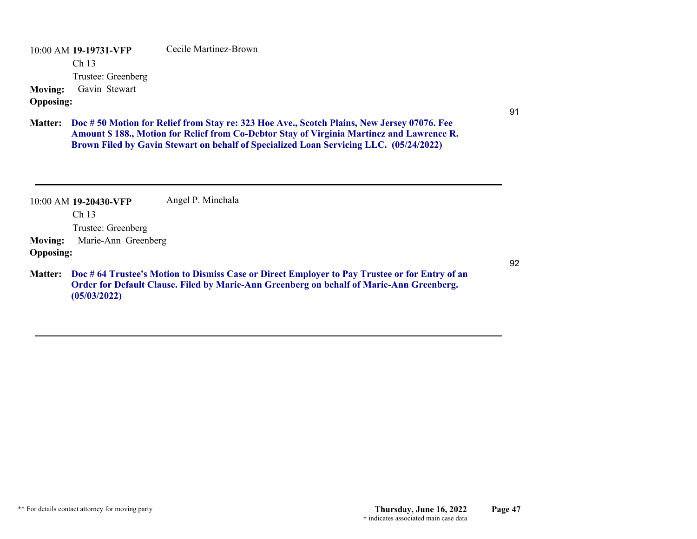10:00 AM **19-19731-VFP**  Ch 13 Trustee: Greenberg Cecile Martinez-Brown**Moving:** Gavin Stewart **Opposing:**

**Doc # 50 Motion for Relief from Stay re: 323 Hoe Ave., Scotch Plains, New Jersey 07076. Fee Matter: Amount \$ 188., Motion for Relief from Co-Debtor Stay of Virginia Martinez and Lawrence R. Brown Filed by Gavin Stewart on behalf of Specialized Loan Servicing LLC. (05/24/2022)**

order & cos ok

| <b>Moving:</b><br><b>Opposing:</b> | $10:00$ AM 19-20430-VFP<br>Ch <sub>13</sub><br>Trustee: Greenberg<br>Marie-Ann Greenberg | Angel P. Minchala                                                                                                                                                                         | JM |
|------------------------------------|------------------------------------------------------------------------------------------|-------------------------------------------------------------------------------------------------------------------------------------------------------------------------------------------|----|
| <b>Matter:</b>                     | (05/03/2022)                                                                             | Doc #64 Trustee's Motion to Dismiss Case or Direct Employer to Pay Trustee or for Entry of an<br>Order for Default Clause. Filed by Marie-Ann Greenberg on behalf of Marie-Ann Greenberg. |    |

91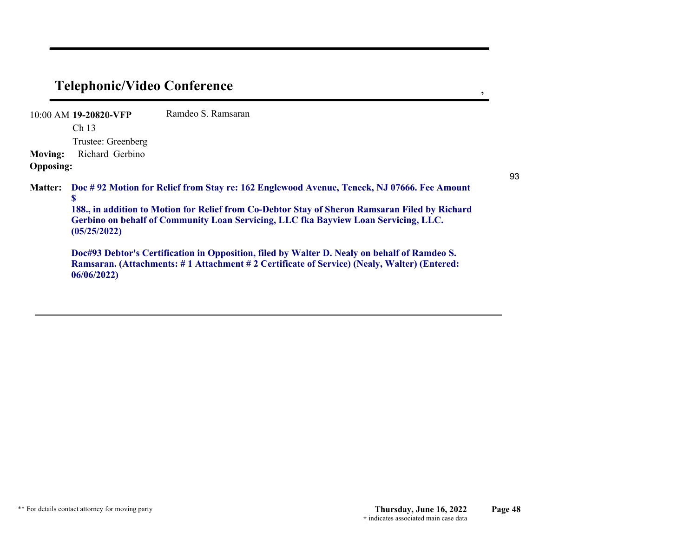## **Telephonic/Video Conference ,**

10:00 AM **19-20820-VFP**  Ch 13 Trustee: Greenberg Ramdeo S. Ramsaran**Moving:** Richard Gerbino **Opposing: Doc # 92 Motion for Relief from Stay re: 162 Englewood Avenue, Teneck, NJ 07666. Fee Amount Matter: \$ 188., in addition to Motion for Relief from Co-Debtor Stay of Sheron Ramsaran Filed by Richard Gerbino on behalf of Community Loan Servicing, LLC fka Bayview Loan Servicing, LLC. (05/25/2022) Doc#93 Debtor's Certification in Opposition, filed by Walter D. Nealy on behalf of Ramdeo S. Ramsaran. (Attachments: # 1 Attachment # 2 Certificate of Service) (Nealy, Walter) (Entered: 06/06/2022)** order & cos ok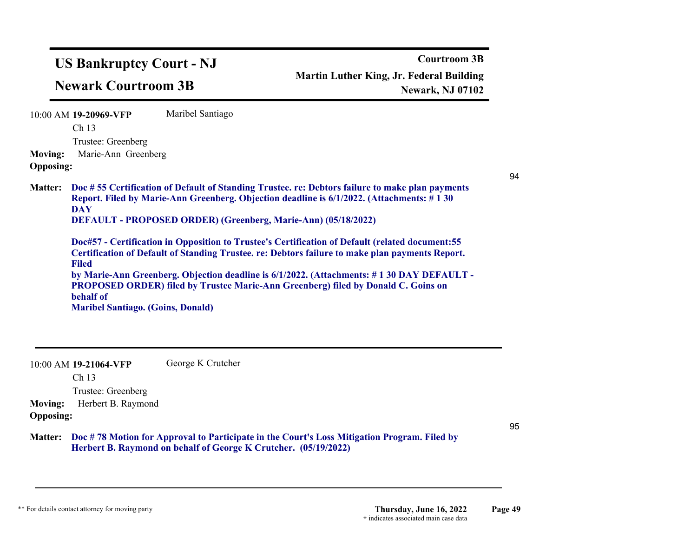|                | <b>US Bankruptcy Court - NJ</b><br><b>Newark Courtroom 3B</b>                                                                                                                                                                                                                                                                                              |                   | <b>Courtroom 3B</b><br><b>Martin Luther King, Jr. Federal Building</b><br><b>Newark, NJ 07102</b>                                                                                                                                                                                                                                                                                                  |
|----------------|------------------------------------------------------------------------------------------------------------------------------------------------------------------------------------------------------------------------------------------------------------------------------------------------------------------------------------------------------------|-------------------|----------------------------------------------------------------------------------------------------------------------------------------------------------------------------------------------------------------------------------------------------------------------------------------------------------------------------------------------------------------------------------------------------|
| <b>Moving:</b> | 10:00 AM 19-20969-VFP<br>Ch <sub>13</sub><br>Trustee: Greenberg<br>Marie-Ann Greenberg                                                                                                                                                                                                                                                                     | Maribel Santiago  | JM                                                                                                                                                                                                                                                                                                                                                                                                 |
| <b>Matter:</b> | <b>Opposing:</b><br>Report. Filed by Marie-Ann Greenberg. Objection deadline is 6/1/2022. (Attachments: #130)<br><b>DAY</b><br>DEFAULT - PROPOSED ORDER) (Greenberg, Marie-Ann) (05/18/2022)<br><b>Filed</b><br>PROPOSED ORDER) filed by Trustee Marie-Ann Greenberg) filed by Donald C. Goins on<br>behalf of<br><b>Maribel Santiago. (Goins, Donald)</b> |                   | Doc #55 Certification of Default of Standing Trustee. re: Debtors failure to make plan payments<br>Doc#57 - Certification in Opposition to Trustee's Certification of Default (related document: 55<br>Certification of Default of Standing Trustee. re: Debtors failure to make plan payments Report.<br>by Marie-Ann Greenberg. Objection deadline is 6/1/2022. (Attachments: #130 DAY DEFAULT - |
|                | 10:00 AM 19-21064-VFP<br>Ch 13<br>Trustee: Greenberg<br>$\mathbf{H} \cdot \mathbf{1} \cdot \mathbf{1} \cdot \mathbf{I}$                                                                                                                                                                                                                                    | George K Crutcher | see#96,97,                                                                                                                                                                                                                                                                                                                                                                                         |

**Moving:** Herbert B. Raymond **Opposing:**

95

**Doc # 78 Motion for Approval to Participate in the Court's Loss Mitigation Program. Filed by Herbert B. Raymond on behalf of George K Crutcher. (05/19/2022) Matter:**

# order & cos ok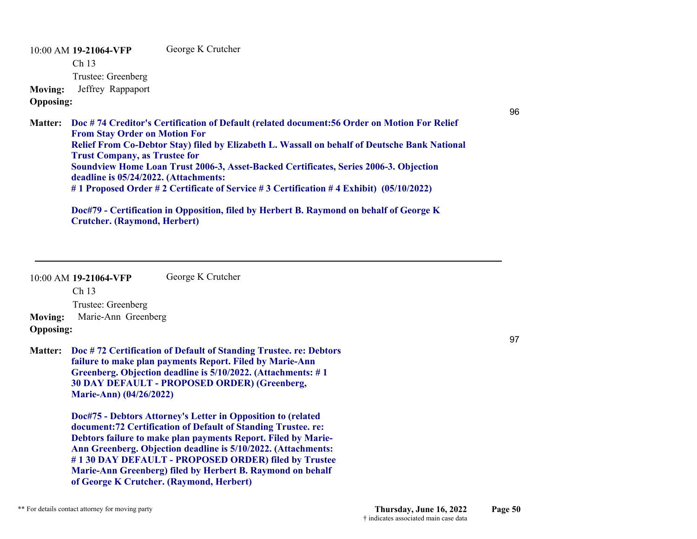10:00 AM **19-21064-VFP**  Ch 13 Trustee: Greenberg George K Crutcher **Moving:** Jeffrey Rappaport **Opposing:**

W|D doc#86

**Doc # 74 Creditor's Certification of Default (related document:56 Order on Motion For Relief Matter: From Stay Order on Motion For Relief From Co-Debtor Stay) filed by Elizabeth L. Wassall on behalf of Deutsche Bank National Trust Company, as Trustee for Soundview Home Loan Trust 2006-3, Asset-Backed Certificates, Series 2006-3. Objection deadline is 05/24/2022. (Attachments: # 1 Proposed Order # 2 Certificate of Service # 3 Certification # 4 Exhibit) (05/10/2022)**

**Doc#79 - Certification in Opposition, filed by Herbert B. Raymond on behalf of George K Crutcher. (Raymond, Herbert)**

## order & cos ok

10:00 AM **19-21064-VFP**  Ch 13 George K Crutcher

Trustee: Greenberg

**Moving:** Marie-Ann Greenberg

## **Opposing:**

**Doc # 72 Certification of Default of Standing Trustee. re: Debtors Matter: failure to make plan payments Report. Filed by Marie-Ann Greenberg. Objection deadline is 5/10/2022. (Attachments: # 1 30 DAY DEFAULT - PROPOSED ORDER) (Greenberg, Marie-Ann) (04/26/2022)**

> **Doc#75 - Debtors Attorney's Letter in Opposition to (related document:72 Certification of Default of Standing Trustee. re: Debtors failure to make plan payments Report. Filed by Marie-Ann Greenberg. Objection deadline is 5/10/2022. (Attachments: # 1 30 DAY DEFAULT - PROPOSED ORDER) filed by Trustee Marie-Ann Greenberg) filed by Herbert B. Raymond on behalf of George K Crutcher. (Raymond, Herbert)**

## JM

97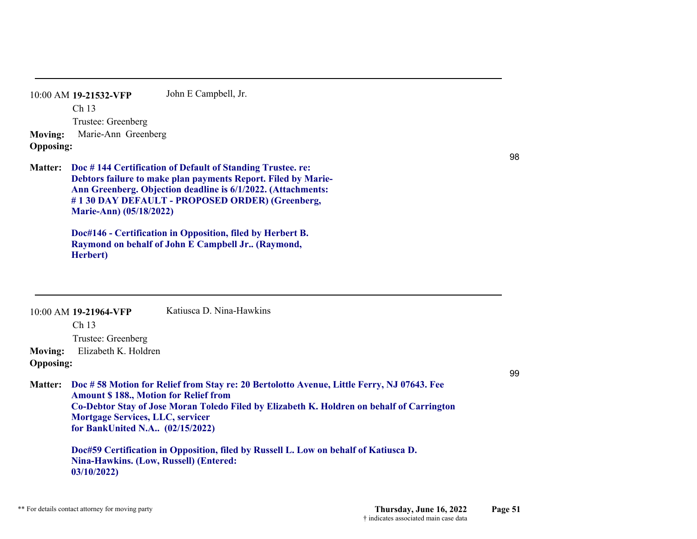|                  | 10:00 AM 19-21532-VFP | John E Campbell, Jr. |
|------------------|-----------------------|----------------------|
|                  | Ch <sub>13</sub>      |                      |
|                  | Trustee: Greenberg    |                      |
| <b>Moving:</b>   | Marie-Ann Greenberg   |                      |
| <b>Opposing:</b> |                       |                      |
|                  |                       |                      |

# JM

98

**Doc # 144 Certification of Default of Standing Trustee. re: Matter: Debtors failure to make plan payments Report. Filed by Marie-Ann Greenberg. Objection deadline is 6/1/2022. (Attachments: # 1 30 DAY DEFAULT - PROPOSED ORDER) (Greenberg, Marie-Ann) (05/18/2022)**

> **Doc#146 - Certification in Opposition, filed by Herbert B. Raymond on behalf of John E Campbell Jr.. (Raymond, Herbert)**

| <b>Moving:</b>                     | $10:00$ AM 19-21964-VFP<br>Ch <sub>13</sub><br>Trustee: Greenberg<br>Elizabeth K. Holdren                                                                                          | Katiusca D. Nina-Hawkins                                                                                                                                                                                                                                                       |    |
|------------------------------------|------------------------------------------------------------------------------------------------------------------------------------------------------------------------------------|--------------------------------------------------------------------------------------------------------------------------------------------------------------------------------------------------------------------------------------------------------------------------------|----|
| <b>Opposing:</b><br><b>Matter:</b> | <b>Amount \$188., Motion for Relief from</b><br><b>Mortgage Services, LLC, servicer</b><br>for BankUnited N.A (02/15/2022)<br>Nina-Hawkins. (Low, Russell) (Entered:<br>03/10/2022 | Doc #58 Motion for Relief from Stay re: 20 Bertolotto Avenue, Little Ferry, NJ 07643. Fee<br>Co-Debtor Stay of Jose Moran Toledo Filed by Elizabeth K. Holdren on behalf of Carrington<br>Doc#59 Certification in Opposition, filed by Russell L. Low on behalf of Katiusca D. | 99 |
|                                    | order & cos ok                                                                                                                                                                     |                                                                                                                                                                                                                                                                                |    |

\*\* For details contact attorney for moving party **Thursday, June 16, 2022 Page 51** † indicates associated main case data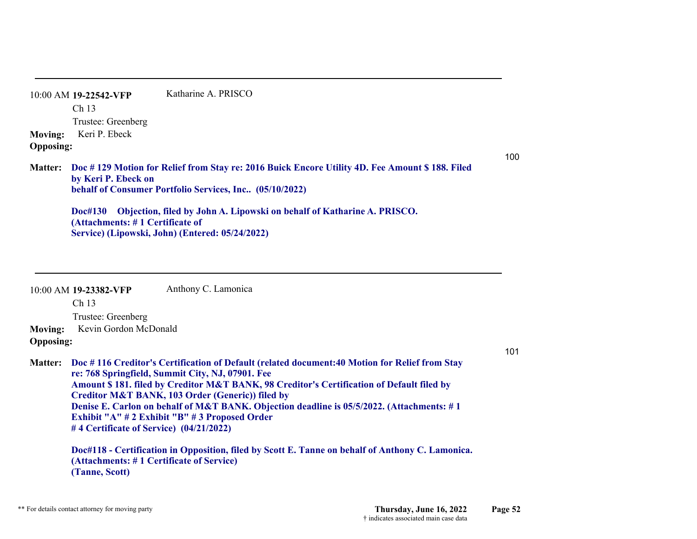10:00 AM **19-22542-VFP**  Ch 13 Trustee: Greenberg Katharine A. PRISCO**Moving:** Keri P. Ebeck **Opposing:**

**Doc # 129 Motion for Relief from Stay re: 2016 Buick Encore Utility 4D. Fee Amount \$ 188. Filed Matter: by Keri P. Ebeck on behalf of Consumer Portfolio Services, Inc.. (05/10/2022)**

**Doc#130 Objection, filed by John A. Lipowski on behalf of Katharine A. PRISCO. (Attachments: # 1 Certificate of Service) (Lipowski, John) (Entered: 05/24/2022)**

10:00 AM **19-23382-VFP**  Ch 13 Anthony C. Lamonica

Trustee: Greenberg

**Moving:** Kevin Gordon McDonald **Opposing:**

**Doc # 116 Creditor's Certification of Default (related document:40 Motion for Relief from Stay Matter: re: 768 Springfield, Summit City, NJ, 07901. Fee Amount \$ 181. filed by Creditor M&T BANK, 98 Creditor's Certification of Default filed by Creditor M&T BANK, 103 Order (Generic)) filed by Denise E. Carlon on behalf of M&T BANK. Objection deadline is 05/5/2022. (Attachments: # 1 Exhibit "A" # 2 Exhibit "B" # 3 Proposed Order # 4 Certificate of Service) (04/21/2022)**

**Doc#118 - Certification in Opposition, filed by Scott E. Tanne on behalf of Anthony C. Lamonica. (Attachments: # 1 Certificate of Service) (Tanne, Scott)**

101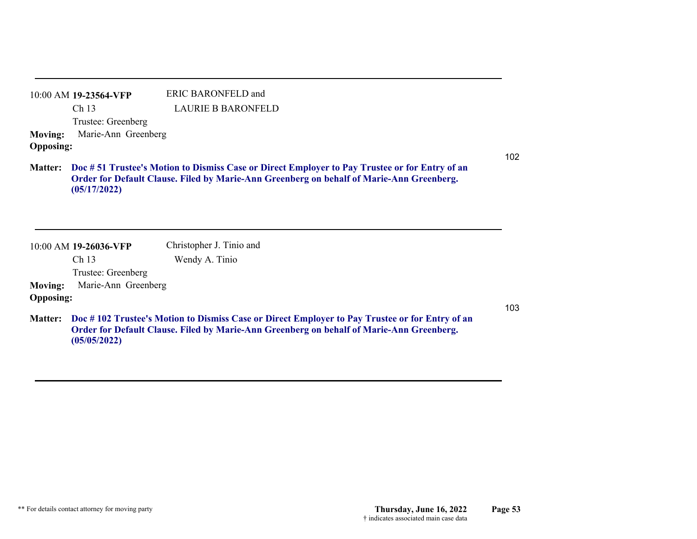| 10:00 AM 19-23564-VFP       | ERIC BARONFELD and |
|-----------------------------|--------------------|
| Ch <sub>13</sub>            | LAURIE B BARONFELD |
| Trustee: Greenberg          |                    |
| Moving: Marie-Ann Greenberg |                    |
| <b>Opposing:</b>            |                    |

**Doc # 51 Trustee's Motion to Dismiss Case or Direct Employer to Pay Trustee or for Entry of an Matter: Order for Default Clause. Filed by Marie-Ann Greenberg on behalf of Marie-Ann Greenberg. (05/17/2022)**

10:00 AM **19-26036-VFP**  Christopher J. Tinio and

Ch 13

Wendy A. Tinio

Trustee: Greenberg

**Moving:** Marie-Ann Greenberg **Opposing:**

**Doc # 102 Trustee's Motion to Dismiss Case or Direct Employer to Pay Trustee or for Entry of an Matter: Order for Default Clause. Filed by Marie-Ann Greenberg on behalf of Marie-Ann Greenberg. (05/05/2022)**

103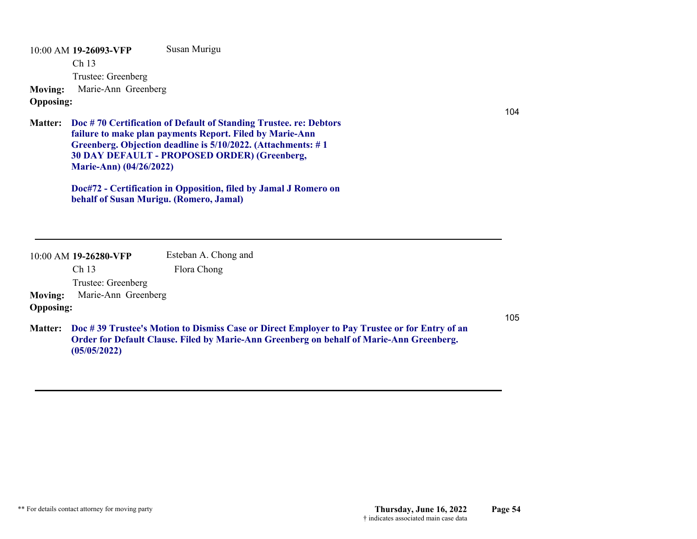10:00 AM **19-26093-VFP**  Ch 13 Trustee: Greenberg Susan Murigu **Moving:** Marie-Ann Greenberg **Opposing:**

**Doc # 70 Certification of Default of Standing Trustee. re: Debtors Matter: failure to make plan payments Report. Filed by Marie-Ann Greenberg. Objection deadline is 5/10/2022. (Attachments: # 1 30 DAY DEFAULT - PROPOSED ORDER) (Greenberg, Marie-Ann) (04/26/2022)**

> **Doc#72 - Certification in Opposition, filed by Jamal J Romero on behalf of Susan Murigu. (Romero, Jamal)**

| 10:00 AM 19-26280-VFP | Esteban A. Chong and                                                                          |     |
|-----------------------|-----------------------------------------------------------------------------------------------|-----|
| Ch 13                 | Flora Chong                                                                                   |     |
| Trustee: Greenberg    |                                                                                               |     |
| <b>Moving:</b>        | Marie-Ann Greenberg                                                                           |     |
| <b>Opposing:</b>      |                                                                                               |     |
|                       |                                                                                               | 105 |
| <b>Matter:</b>        | Doc #39 Trustee's Motion to Dismiss Case or Direct Employer to Pay Trustee or for Entry of an |     |
|                       | Order for Default Clause. Filed by Marie-Ann Greenberg on behalf of Marie-Ann Greenberg.      |     |
| (05/05/2022)          |                                                                                               |     |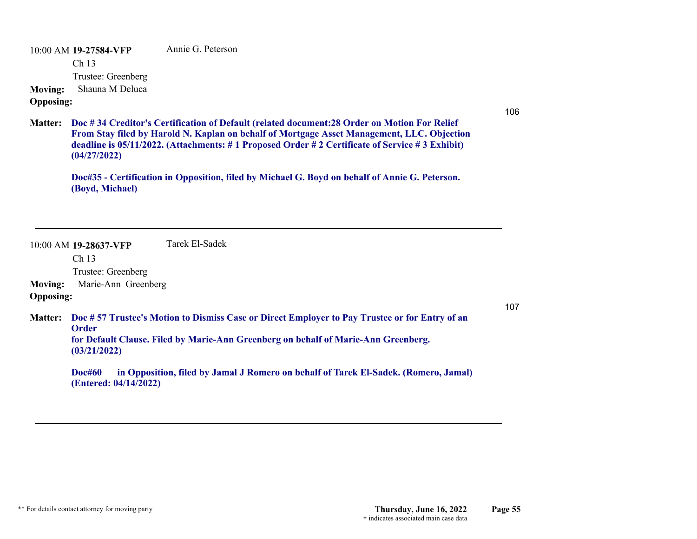10:00 AM **19-27584-VFP**  Ch 13 Trustee: Greenberg Annie G. Peterson**Moving:** Shauna M Deluca

## **Opposing:**

106

**Doc # 34 Creditor's Certification of Default (related document:28 Order on Motion For Relief Matter: From Stay filed by Harold N. Kaplan on behalf of Mortgage Asset Management, LLC. Objection deadline is 05/11/2022. (Attachments: # 1 Proposed Order # 2 Certificate of Service # 3 Exhibit) (04/27/2022)**

**Doc#35 - Certification in Opposition, filed by Michael G. Boyd on behalf of Annie G. Peterson. (Boyd, Michael)**

|                  | 10:00 AM 19-28637-VFP                                                                                                                                                                                               | Tarek El-Sadek                                                                      |     |
|------------------|---------------------------------------------------------------------------------------------------------------------------------------------------------------------------------------------------------------------|-------------------------------------------------------------------------------------|-----|
|                  | Ch <sub>13</sub>                                                                                                                                                                                                    |                                                                                     |     |
|                  | Trustee: Greenberg                                                                                                                                                                                                  |                                                                                     |     |
| <b>Moving:</b>   | Marie-Ann Greenberg                                                                                                                                                                                                 |                                                                                     |     |
| <b>Opposing:</b> |                                                                                                                                                                                                                     |                                                                                     |     |
| <b>Matter:</b>   | Doc #57 Trustee's Motion to Dismiss Case or Direct Employer to Pay Trustee or for Entry of an<br><b>Order</b><br>for Default Clause. Filed by Marie-Ann Greenberg on behalf of Marie-Ann Greenberg.<br>(03/21/2022) |                                                                                     | 107 |
|                  | <b>Doc#60</b><br>(Entered: 04/14/2022)                                                                                                                                                                              | in Opposition, filed by Jamal J Romero on behalf of Tarek El-Sadek. (Romero, Jamal) |     |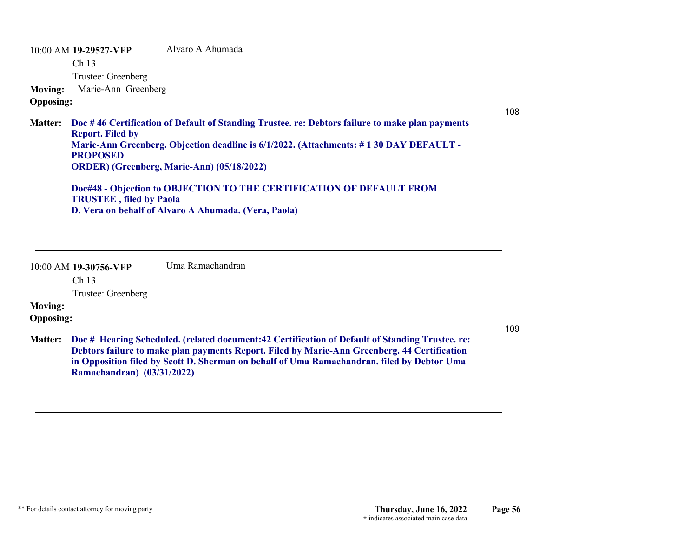10:00 AM **19-29527-VFP**  Ch 13 Trustee: Greenberg Alvaro A Ahumada**Moving:** Marie-Ann Greenberg **Opposing:**

108

**Doc # 46 Certification of Default of Standing Trustee. re: Debtors failure to make plan payments Matter: Report. Filed by Marie-Ann Greenberg. Objection deadline is 6/1/2022. (Attachments: # 1 30 DAY DEFAULT - PROPOSED ORDER) (Greenberg, Marie-Ann) (05/18/2022)**

**Doc#48 - Objection to OBJECTION TO THE CERTIFICATION OF DEFAULT FROM TRUSTEE , filed by Paola D. Vera on behalf of Alvaro A Ahumada. (Vera, Paola)**

10:00 AM **19-30756-VFP**  Uma Ramachandran

Ch 13

Trustee: Greenberg

## **Moving:**

**Opposing:**

109

**Doc # Hearing Scheduled. (related document:42 Certification of Default of Standing Trustee. re: Matter: Debtors failure to make plan payments Report. Filed by Marie-Ann Greenberg. 44 Certification in Opposition filed by Scott D. Sherman on behalf of Uma Ramachandran. filed by Debtor Uma Ramachandran) (03/31/2022)**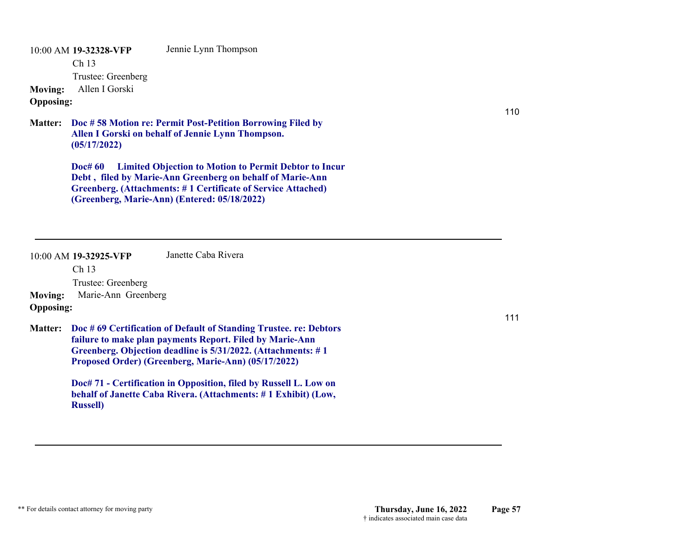10:00 AM **19-32328-VFP**  Ch 13 Trustee: Greenberg Jennie Lynn Thompson **Moving:** Allen I Gorski **Opposing:**

**Doc # 58 Motion re: Permit Post-Petition Borrowing Filed by Matter: Allen I Gorski on behalf of Jennie Lynn Thompson. (05/17/2022)**

> **Doc# 60 Limited Objection to Motion to Permit Debtor to Incur Debt , filed by Marie-Ann Greenberg on behalf of Marie-Ann Greenberg. (Attachments: # 1 Certificate of Service Attached) (Greenberg, Marie-Ann) (Entered: 05/18/2022)**

|                  | 10:00 AM 19-32925-VFP<br>Ch <sub>13</sub> | Janette Caba Rivera                                                                                                                                                                                                                                  |     |
|------------------|-------------------------------------------|------------------------------------------------------------------------------------------------------------------------------------------------------------------------------------------------------------------------------------------------------|-----|
|                  | Trustee: Greenberg                        |                                                                                                                                                                                                                                                      |     |
| <b>Moving:</b>   | Marie-Ann Greenberg                       |                                                                                                                                                                                                                                                      |     |
| <b>Opposing:</b> |                                           |                                                                                                                                                                                                                                                      |     |
| <b>Matter:</b>   |                                           | Doc #69 Certification of Default of Standing Trustee. re: Debtors<br>failure to make plan payments Report. Filed by Marie-Ann<br>Greenberg. Objection deadline is 5/31/2022. (Attachments: #1<br>Proposed Order) (Greenberg, Marie-Ann) (05/17/2022) | 111 |
|                  | <b>Russell</b> )                          | Doc# 71 - Certification in Opposition, filed by Russell L. Low on<br>behalf of Janette Caba Rivera. (Attachments: #1 Exhibit) (Low,                                                                                                                  |     |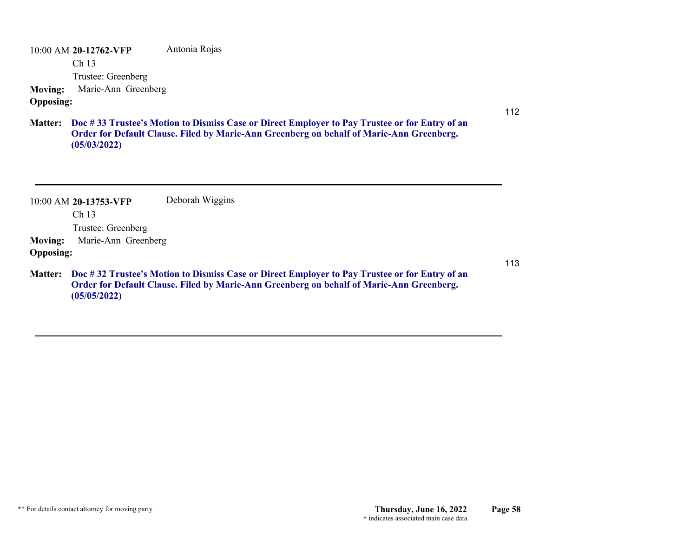10:00 AM **20-12762-VFP**  Ch 13 Trustee: Greenberg Antonia Rojas **Moving:** Marie-Ann Greenberg **Opposing:**

**Doc # 33 Trustee's Motion to Dismiss Case or Direct Employer to Pay Trustee or for Entry of an Matter: Order for Default Clause. Filed by Marie-Ann Greenberg on behalf of Marie-Ann Greenberg. (05/03/2022)**

10:00 AM **20-13753-VFP**  Ch 13 Trustee: Greenberg Deborah Wiggins **Moving:** Marie-Ann Greenberg **Opposing:** 113**Doc # 32 Trustee's Motion to Dismiss Case or Direct Employer to Pay Trustee or for Entry of an Matter: Order for Default Clause. Filed by Marie-Ann Greenberg on behalf of Marie-Ann Greenberg. (05/05/2022)**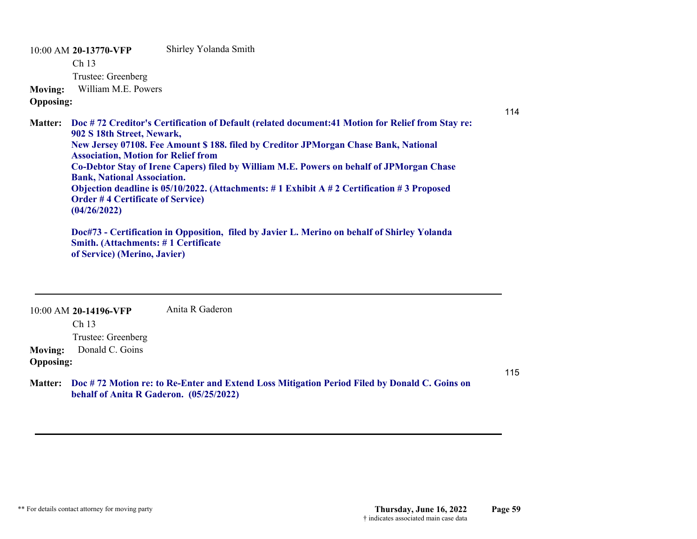10:00 AM **20-13770-VFP**  Ch 13 Trustee: Greenberg Shirley Yolanda Smith **Moving:** William M.E. Powers **Opposing: Doc # 72 Creditor's Certification of Default (related document:41 Motion for Relief from Stay re: Matter: 902 S 18th Street, Newark, New Jersey 07108. Fee Amount \$ 188. filed by Creditor JPMorgan Chase Bank, National Association, Motion for Relief from Co-Debtor Stay of Irene Capers) filed by William M.E. Powers on behalf of JPMorgan Chase Bank, National Association. Objection deadline is 05/10/2022. (Attachments: # 1 Exhibit A # 2 Certification # 3 Proposed Order # 4 Certificate of Service) (04/26/2022) Doc#73 - Certification in Opposition, filed by Javier L. Merino on behalf of Shirley Yolanda Smith. (Attachments: # 1 Certificate** 

**of Service) (Merino, Javier)**

10:00 AM **20-14196-VFP**  Anita R Gaderon

Ch 13

Trustee: Greenberg

**Moving:** Donald C. Goins

### **Opposing:**

**Doc # 72 Motion re: to Re-Enter and Extend Loss Mitigation Period Filed by Donald C. Goins on Matter:behalf of Anita R Gaderon. (05/25/2022)**

115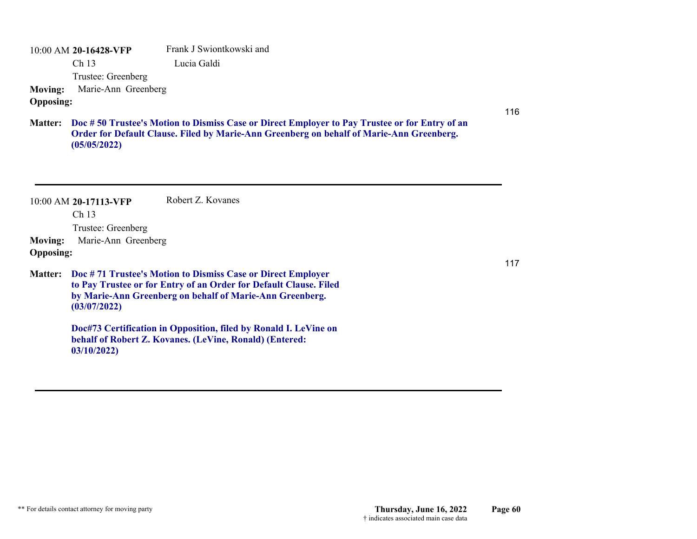10:00 AM **20-16428-VFP**  Ch 13 Trustee: Greenberg Frank J Swiontkowski and Lucia Galdi **Moving:** Marie-Ann Greenberg

## **Opposing:**

116

117

**Doc # 50 Trustee's Motion to Dismiss Case or Direct Employer to Pay Trustee or for Entry of an Matter: Order for Default Clause. Filed by Marie-Ann Greenberg on behalf of Marie-Ann Greenberg. (05/05/2022)**

|                  | $10:00$ AM 20-17113-VFP | Robert Z. Kovanes                                                                                                                                                                            |
|------------------|-------------------------|----------------------------------------------------------------------------------------------------------------------------------------------------------------------------------------------|
|                  |                         |                                                                                                                                                                                              |
|                  | Ch <sub>13</sub>        |                                                                                                                                                                                              |
|                  | Trustee: Greenberg      |                                                                                                                                                                                              |
| <b>Moving:</b>   | Marie-Ann Greenberg     |                                                                                                                                                                                              |
| <b>Opposing:</b> |                         |                                                                                                                                                                                              |
| <b>Matter:</b>   | (03/07/2022)            | Doc #71 Trustee's Motion to Dismiss Case or Direct Employer<br>to Pay Trustee or for Entry of an Order for Default Clause. Filed<br>by Marie-Ann Greenberg on behalf of Marie-Ann Greenberg. |
|                  | 03/10/2022              | Doc#73 Certification in Opposition, filed by Ronald I. LeVine on<br>behalf of Robert Z. Kovanes. (LeVine, Ronald) (Entered:                                                                  |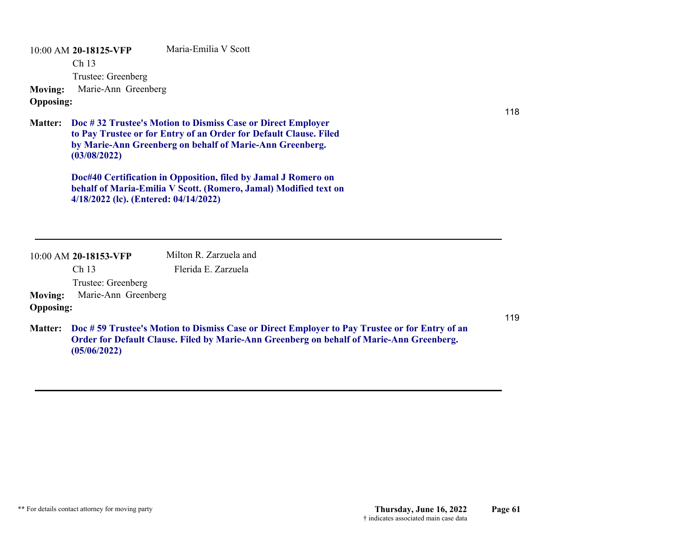10:00 AM **20-18125-VFP**  Ch 13 Trustee: Greenberg Maria-Emilia V Scott**Moving:** Marie-Ann Greenberg **Opposing:**

**Doc # 32 Trustee's Motion to Dismiss Case or Direct Employer Matter: to Pay Trustee or for Entry of an Order for Default Clause. Filed by Marie-Ann Greenberg on behalf of Marie-Ann Greenberg. (03/08/2022)**

> **Doc#40 Certification in Opposition, filed by Jamal J Romero on behalf of Maria-Emilia V Scott. (Romero, Jamal) Modified text on 4/18/2022 (lc). (Entered: 04/14/2022)**

|                  | 10:00 AM 20-18153-VFP | Milton R. Zarzuela and |
|------------------|-----------------------|------------------------|
|                  | Ch <sub>13</sub>      | Flerida E. Zarzuela    |
|                  | Trustee: Greenberg    |                        |
| Moving:          | Marie-Ann Greenberg   |                        |
| <b>Opposing:</b> |                       |                        |

**(05/06/2022)**

118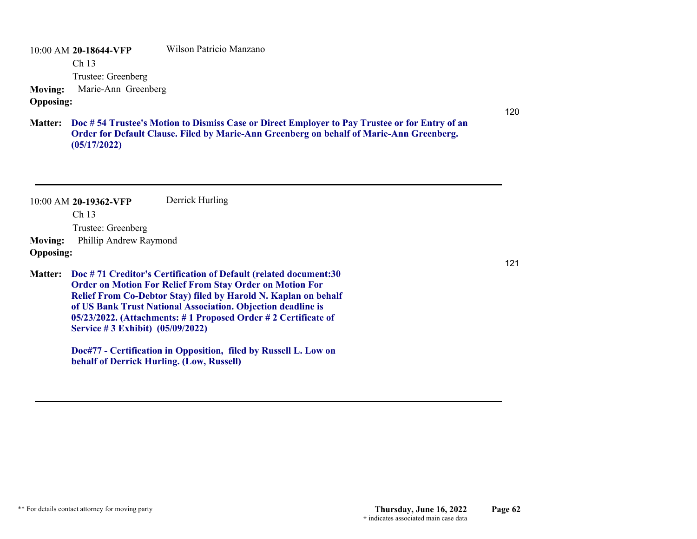10:00 AM **20-18644-VFP**  Ch 13 Trustee: Greenberg Wilson Patricio Manzano**Moving:** Marie-Ann Greenberg **Opposing:**

**Doc # 54 Trustee's Motion to Dismiss Case or Direct Employer to Pay Trustee or for Entry of an Matter: Order for Default Clause. Filed by Marie-Ann Greenberg on behalf of Marie-Ann Greenberg. (05/17/2022)**

|                  | 10:00 AM 20-19362-VFP               | Derrick Hurling                                                                                                                                                                                                                                                                                                                         |
|------------------|-------------------------------------|-----------------------------------------------------------------------------------------------------------------------------------------------------------------------------------------------------------------------------------------------------------------------------------------------------------------------------------------|
|                  | Ch <sub>13</sub>                    |                                                                                                                                                                                                                                                                                                                                         |
|                  | Trustee: Greenberg                  |                                                                                                                                                                                                                                                                                                                                         |
| <b>Moving:</b>   | Phillip Andrew Raymond              |                                                                                                                                                                                                                                                                                                                                         |
| <b>Opposing:</b> |                                     |                                                                                                                                                                                                                                                                                                                                         |
| <b>Matter:</b>   | Service # 3 Exhibit) $(05/09/2022)$ | Doc #71 Creditor's Certification of Default (related document:30<br><b>Order on Motion For Relief From Stay Order on Motion For</b><br>Relief From Co-Debtor Stay) filed by Harold N. Kaplan on behalf<br>of US Bank Trust National Association. Objection deadline is<br>05/23/2022. (Attachments: #1 Proposed Order #2 Certificate of |
|                  |                                     | Doc#77 - Certification in Opposition, filed by Russell L. Low on                                                                                                                                                                                                                                                                        |
|                  |                                     | behalf of Derrick Hurling. (Low, Russell)                                                                                                                                                                                                                                                                                               |

120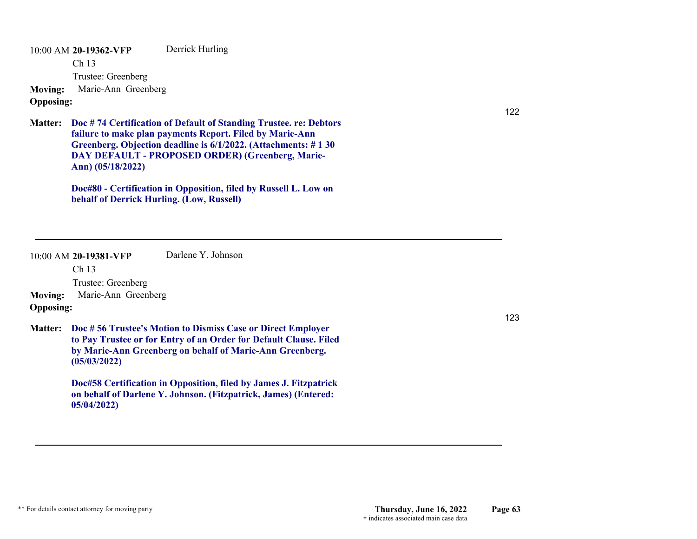10:00 AM **20-19362-VFP**  Ch 13 Trustee: Greenberg Derrick Hurling **Moving:** Marie-Ann Greenberg **Opposing:**

**Doc # 74 Certification of Default of Standing Trustee. re: Debtors Matter: failure to make plan payments Report. Filed by Marie-Ann Greenberg. Objection deadline is 6/1/2022. (Attachments: # 1 30 DAY DEFAULT - PROPOSED ORDER) (Greenberg, Marie-Ann) (05/18/2022)**

> **Doc#80 - Certification in Opposition, filed by Russell L. Low on behalf of Derrick Hurling. (Low, Russell)**

|                                    | $10:00$ AM 20-19381-VFP<br>Ch <sub>13</sub><br>Trustee: Greenberg | Darlene Y. Johnson                                                                                                                                                                           |     |
|------------------------------------|-------------------------------------------------------------------|----------------------------------------------------------------------------------------------------------------------------------------------------------------------------------------------|-----|
| <b>Moving:</b><br><b>Opposing:</b> | Marie-Ann Greenberg                                               |                                                                                                                                                                                              | 123 |
| <b>Matter:</b>                     | (05/03/2022)                                                      | Doc #56 Trustee's Motion to Dismiss Case or Direct Employer<br>to Pay Trustee or for Entry of an Order for Default Clause. Filed<br>by Marie-Ann Greenberg on behalf of Marie-Ann Greenberg. |     |
|                                    | 05/04/2022                                                        | Doc#58 Certification in Opposition, filed by James J. Fitzpatrick<br>on behalf of Darlene Y. Johnson. (Fitzpatrick, James) (Entered:                                                         |     |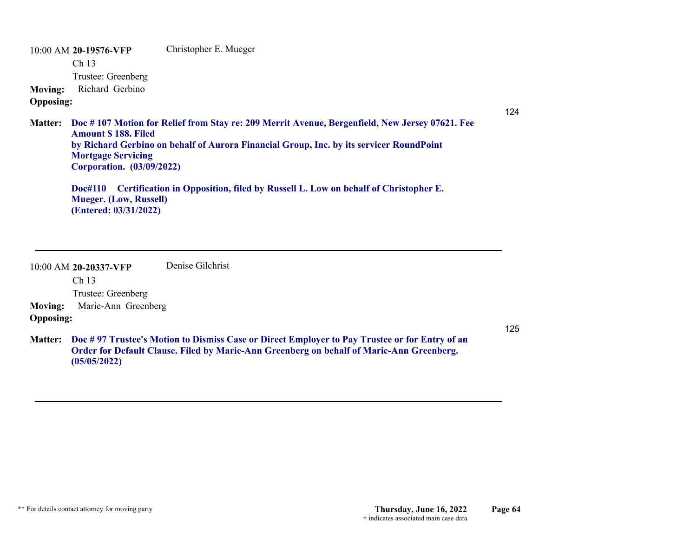10:00 AM **20-19576-VFP**  Ch 13 Trustee: Greenberg Christopher E. Mueger **Moving:** Richard Gerbino **Opposing:**

124

**Doc # 107 Motion for Relief from Stay re: 209 Merrit Avenue, Bergenfield, New Jersey 07621. Fee Matter: Amount \$ 188. Filed by Richard Gerbino on behalf of Aurora Financial Group, Inc. by its servicer RoundPoint Mortgage Servicing Corporation. (03/09/2022)**

**Doc#110 Certification in Opposition, filed by Russell L. Low on behalf of Christopher E. Mueger. (Low, Russell) (Entered: 03/31/2022)**

10:00 AM **20-20337-VFP**  Ch 13 Trustee: Greenberg Denise Gilchrist**Moving:** Marie-Ann Greenberg **Opposing:**

**Doc # 97 Trustee's Motion to Dismiss Case or Direct Employer to Pay Trustee or for Entry of an Matter: Order for Default Clause. Filed by Marie-Ann Greenberg on behalf of Marie-Ann Greenberg. (05/05/2022)**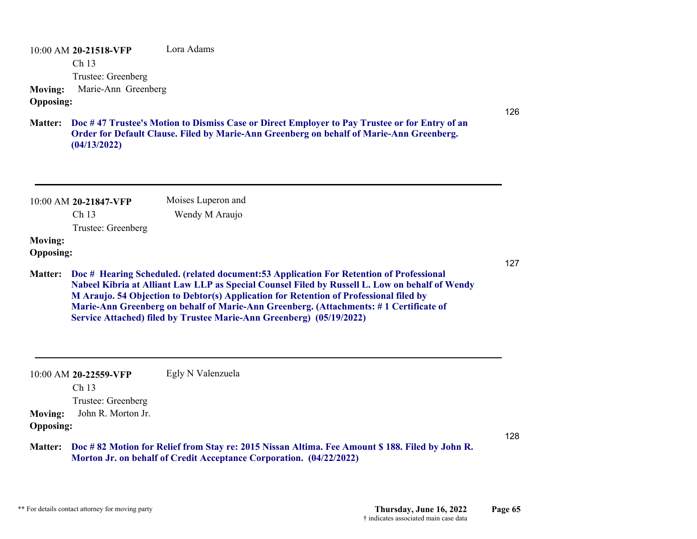10:00 AM **20-21518-VFP**  Ch 13 Trustee: Greenberg Lora Adams**Moving:** Marie-Ann Greenberg **Opposing:**

**Doc # 47 Trustee's Motion to Dismiss Case or Direct Employer to Pay Trustee or for Entry of an Matter: Order for Default Clause. Filed by Marie-Ann Greenberg on behalf of Marie-Ann Greenberg. (04/13/2022)**

| $10:00$ AM 20-21847-VFP<br>Ch <sub>13</sub> | Moises Luperon and<br>Wendy M Araujo |
|---------------------------------------------|--------------------------------------|
| Trustee: Greenberg                          |                                      |
| <b>Moving:</b>                              |                                      |
| <b>Opposing:</b>                            |                                      |

**Doc # Hearing Scheduled. (related document:53 Application For Retention of Professional Matter: Nabeel Kibria at Alliant Law LLP as Special Counsel Filed by Russell L. Low on behalf of Wendy M Araujo. 54 Objection to Debtor(s) Application for Retention of Professional filed by Marie-Ann Greenberg on behalf of Marie-Ann Greenberg. (Attachments: # 1 Certificate of Service Attached) filed by Trustee Marie-Ann Greenberg) (05/19/2022)**

10:00 AM **20-22559-VFP**  Ch 13 Trustee: Greenberg Egly N Valenzuela **Moving:** John R. Morton Jr. **Opposing:**

**Doc # 82 Motion for Relief from Stay re: 2015 Nissan Altima. Fee Amount \$ 188. Filed by John R. Matter: Morton Jr. on behalf of Credit Acceptance Corporation. (04/22/2022)**

126

127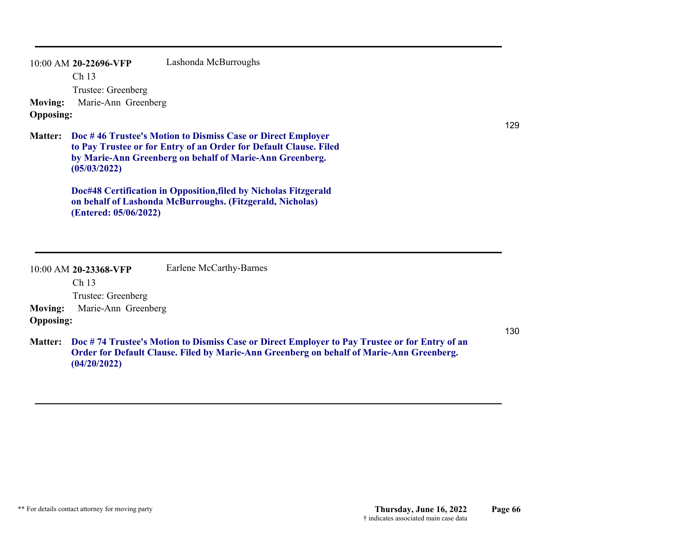| <b>Moving:</b><br><b>Opposing:</b> | 10:00 AM 20-22696-VFP<br>Ch 13<br>Trustee: Greenberg<br>Marie-Ann Greenberg | Lashonda McBurroughs                                                                                                                                                                                                                                                                                                          |
|------------------------------------|-----------------------------------------------------------------------------|-------------------------------------------------------------------------------------------------------------------------------------------------------------------------------------------------------------------------------------------------------------------------------------------------------------------------------|
| <b>Matter:</b>                     | (05/03/2022)<br>(Entered: 05/06/2022)                                       | Doc #46 Trustee's Motion to Dismiss Case or Direct Employer<br>to Pay Trustee or for Entry of an Order for Default Clause. Filed<br>by Marie-Ann Greenberg on behalf of Marie-Ann Greenberg.<br>Doc#48 Certification in Opposition, filed by Nicholas Fitzgerald<br>on behalf of Lashonda McBurroughs. (Fitzgerald, Nicholas) |
|                                    | 10:00 AM 20-23368-VFP<br>Ch <sub>13</sub><br>Trustee: Greenberg             | Earlene McCarthy-Barnes                                                                                                                                                                                                                                                                                                       |
| <b>Moving:</b>                     | Marie-Ann Greenberg                                                         |                                                                                                                                                                                                                                                                                                                               |

130

129

**Doc # 74 Trustee's Motion to Dismiss Case or Direct Employer to Pay Trustee or for Entry of an Matter: Order for Default Clause. Filed by Marie-Ann Greenberg on behalf of Marie-Ann Greenberg. (04/20/2022)**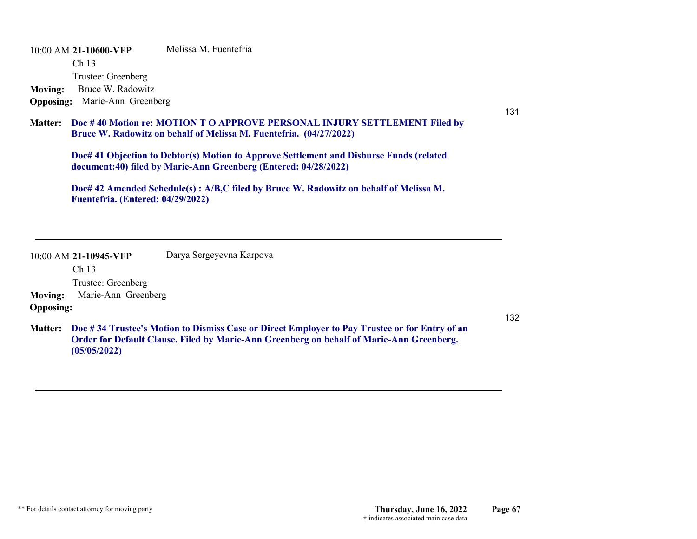10:00 AM **21-10600-VFP**  Ch 13 Trustee: Greenberg Melissa M. Fuentefria **Moving:** Bruce W. Radowitz **Opposing:** Marie-Ann Greenberg

131

#### **Doc # 40 Motion re: MOTION T O APPROVE PERSONAL INJURY SETTLEMENT Filed by Matter: Bruce W. Radowitz on behalf of Melissa M. Fuentefria. (04/27/2022)**

**Doc# 41 Objection to Debtor(s) Motion to Approve Settlement and Disburse Funds (related document:40) filed by Marie-Ann Greenberg (Entered: 04/28/2022)**

**Doc# 42 Amended Schedule(s) : A/B,C filed by Bruce W. Radowitz on behalf of Melissa M. Fuentefria. (Entered: 04/29/2022)**

|                  | $10:00$ AM 21-10945-VFP | Darya Sergeyevna Karpova                                                                                                                                                                  |     |
|------------------|-------------------------|-------------------------------------------------------------------------------------------------------------------------------------------------------------------------------------------|-----|
|                  | Ch <sub>13</sub>        |                                                                                                                                                                                           |     |
|                  | Trustee: Greenberg      |                                                                                                                                                                                           |     |
| <b>Moving:</b>   | Marie-Ann Greenberg     |                                                                                                                                                                                           |     |
| <b>Opposing:</b> |                         |                                                                                                                                                                                           |     |
| <b>Matter:</b>   |                         | Doc #34 Trustee's Motion to Dismiss Case or Direct Employer to Pay Trustee or for Entry of an<br>Order for Default Clause. Filed by Marie-Ann Greenberg on behalf of Marie-Ann Greenberg. | 132 |

**(05/05/2022)**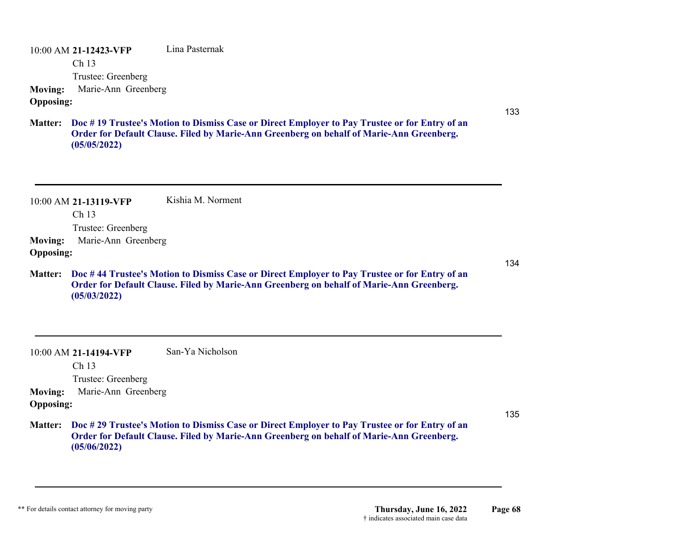10:00 AM **21-12423-VFP**  Ch 13 Trustee: Greenberg Lina Pasternak**Moving:** Marie-Ann Greenberg **Opposing:**

**Doc # 19 Trustee's Motion to Dismiss Case or Direct Employer to Pay Trustee or for Entry of an Matter: Order for Default Clause. Filed by Marie-Ann Greenberg on behalf of Marie-Ann Greenberg. (05/05/2022)**

10:00 AM **21-13119-VFP**  Ch 13 Trustee: Greenberg Kishia M. Norment**Moving:** Marie-Ann Greenberg **Opposing:** 134**Doc # 44 Trustee's Motion to Dismiss Case or Direct Employer to Pay Trustee or for Entry of an Matter: Order for Default Clause. Filed by Marie-Ann Greenberg on behalf of Marie-Ann Greenberg. (05/03/2022)**

10:00 AM **21-14194-VFP**  Ch 13 Trustee: Greenberg San-Ya Nicholson**Moving:** Marie-Ann Greenberg **Opposing: Doc # 29 Trustee's Motion to Dismiss Case or Direct Employer to Pay Trustee or for Entry of an Matter: Order for Default Clause. Filed by Marie-Ann Greenberg on behalf of Marie-Ann Greenberg.** 

**(05/06/2022)**

133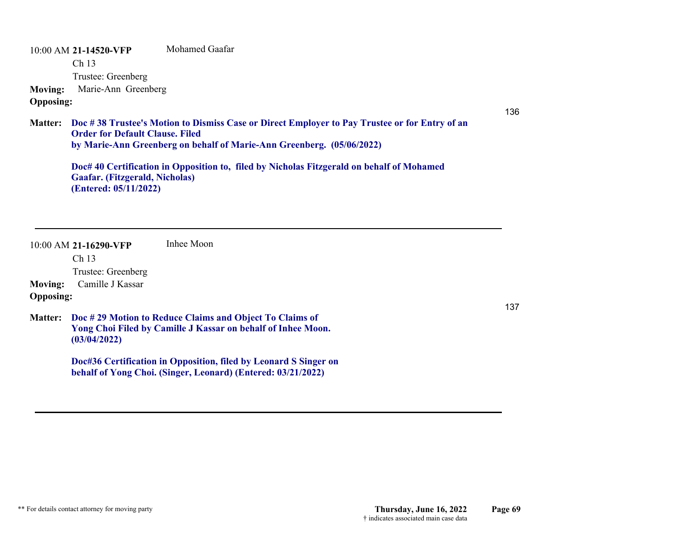10:00 AM **21-14520-VFP**  Ch 13 Trustee: Greenberg Mohamed Gaafar**Moving:** Marie-Ann Greenberg

## **Opposing:**

136

**Doc # 38 Trustee's Motion to Dismiss Case or Direct Employer to Pay Trustee or for Entry of an Matter: Order for Default Clause. Filed by Marie-Ann Greenberg on behalf of Marie-Ann Greenberg. (05/06/2022)**

**Doc# 40 Certification in Opposition to, filed by Nicholas Fitzgerald on behalf of Mohamed Gaafar. (Fitzgerald, Nicholas) (Entered: 05/11/2022)**

10:00 AM **21-16290-VFP**  Ch 13 Trustee: Greenberg Inhee Moon**Moving:** Camille J Kassar **Opposing: Doc # 29 Motion to Reduce Claims and Object To Claims of Matter: Yong Choi Filed by Camille J Kassar on behalf of Inhee Moon. (03/04/2022) Doc#36 Certification in Opposition, filed by Leonard S Singer on behalf of Yong Choi. (Singer, Leonard) (Entered: 03/21/2022)**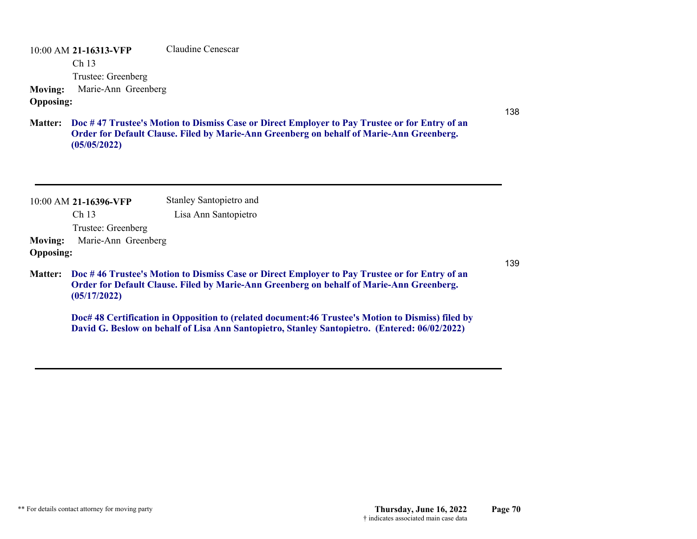10:00 AM **21-16313-VFP**  Ch 13 Trustee: Greenberg Claudine Cenescar**Moving:** Marie-Ann Greenberg **Opposing:**

**Doc # 47 Trustee's Motion to Dismiss Case or Direct Employer to Pay Trustee or for Entry of an Matter: Order for Default Clause. Filed by Marie-Ann Greenberg on behalf of Marie-Ann Greenberg. (05/05/2022)**

|                                    | $10:00$ AM 21-16396-VFP | Stanley Santopietro and                                                                                          |
|------------------------------------|-------------------------|------------------------------------------------------------------------------------------------------------------|
|                                    | Ch <sub>13</sub>        | Lisa Ann Santopietro                                                                                             |
|                                    | Trustee: Greenberg      |                                                                                                                  |
| <b>Moving:</b><br><b>Opposing:</b> | Marie-Ann Greenberg     |                                                                                                                  |
| <b>Matter:</b>                     |                         | Doc #46 Trustee's Motion to Dismiss Case or Direct 1<br><b>Order for Default Clause Filed by Marie-Ann Green</b> |

**Employer to Pay Trustee or for Entry of an Order for Default Clause. Filed by Marie-Ann Greenberg on behalf of Marie-Ann Greenberg. (05/17/2022)**

**Doc# 48 Certification in Opposition to (related document:46 Trustee's Motion to Dismiss) filed by David G. Beslow on behalf of Lisa Ann Santopietro, Stanley Santopietro. (Entered: 06/02/2022)**

139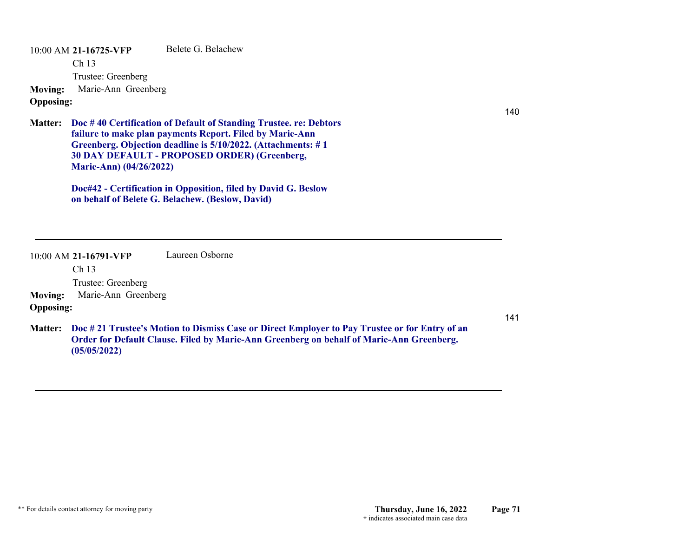10:00 AM **21-16725-VFP**  Ch 13 Trustee: Greenberg Belete G. Belachew**Moving:** Marie-Ann Greenberg **Opposing:**

**Doc # 40 Certification of Default of Standing Trustee. re: Debtors Matter: failure to make plan payments Report. Filed by Marie-Ann Greenberg. Objection deadline is 5/10/2022. (Attachments: # 1 30 DAY DEFAULT - PROPOSED ORDER) (Greenberg, Marie-Ann) (04/26/2022)**

> **Doc#42 - Certification in Opposition, filed by David G. Beslow on behalf of Belete G. Belachew. (Beslow, David)**

|                  | 10:00 AM 21-16791-VFP | Laureen Osborne                                                                                                                                                                                    |     |
|------------------|-----------------------|----------------------------------------------------------------------------------------------------------------------------------------------------------------------------------------------------|-----|
|                  | Ch 13                 |                                                                                                                                                                                                    |     |
|                  | Trustee: Greenberg    |                                                                                                                                                                                                    |     |
| <b>Moving:</b>   | Marie-Ann Greenberg   |                                                                                                                                                                                                    |     |
| <b>Opposing:</b> |                       |                                                                                                                                                                                                    |     |
|                  |                       | Matter: Doc # 21 Trustee's Motion to Dismiss Case or Direct Employer to Pay Trustee or for Entry of an<br>Order for Default Clause. Filed by Marie-Ann Greenberg on behalf of Marie-Ann Greenberg. | 141 |

**(05/05/2022)**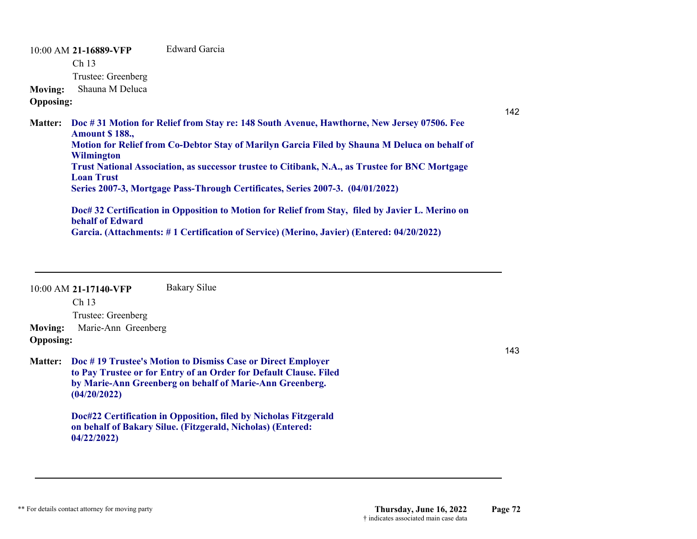10:00 AM **21-16889-VFP**  Ch 13 Trustee: Greenberg Edward Garcia**Moving:** Shauna M Deluca **Opposing: Doc # 31 Motion for Relief from Stay re: 148 South Avenue, Hawthorne, New Jersey 07506. Fee Matter: Amount \$ 188., Motion for Relief from Co-Debtor Stay of Marilyn Garcia Filed by Shauna M Deluca on behalf of Wilmington Trust National Association, as successor trustee to Citibank, N.A., as Trustee for BNC Mortgage Loan Trust Series 2007-3, Mortgage Pass-Through Certificates, Series 2007-3. (04/01/2022)**

**Doc# 32 Certification in Opposition to Motion for Relief from Stay, filed by Javier L. Merino on behalf of Edward Garcia. (Attachments: # 1 Certification of Service) (Merino, Javier) (Entered: 04/20/2022)**

|                  | $10:00$ AM 21-17140-VFP | Bakary Silue                                                                                                                                                                                 |
|------------------|-------------------------|----------------------------------------------------------------------------------------------------------------------------------------------------------------------------------------------|
|                  | Ch <sub>13</sub>        |                                                                                                                                                                                              |
|                  | Trustee: Greenberg      |                                                                                                                                                                                              |
| <b>Moving:</b>   | Marie-Ann Greenberg     |                                                                                                                                                                                              |
| <b>Opposing:</b> |                         |                                                                                                                                                                                              |
| <b>Matter:</b>   | (04/20/2022)            | Doc #19 Trustee's Motion to Dismiss Case or Direct Employer<br>to Pay Trustee or for Entry of an Order for Default Clause. Filed<br>by Marie-Ann Greenberg on behalf of Marie-Ann Greenberg. |
|                  |                         | Doc#22 Certification in Opposition, filed by Nicholas Fitzgerald                                                                                                                             |

**on behalf of Bakary Silue. (Fitzgerald, Nicholas) (Entered: 04/22/2022)**

143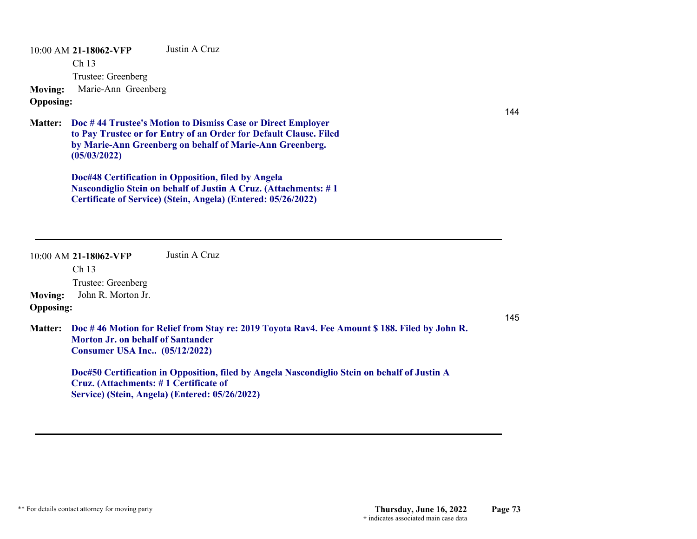10:00 AM **21-18062-VFP**  Ch 13 Trustee: Greenberg Justin A Cruz**Moving:** Marie-Ann Greenberg **Opposing:**

**Doc # 44 Trustee's Motion to Dismiss Case or Direct Employer Matter: to Pay Trustee or for Entry of an Order for Default Clause. Filed by Marie-Ann Greenberg on behalf of Marie-Ann Greenberg. (05/03/2022)**

> **Doc#48 Certification in Opposition, filed by Angela Nascondiglio Stein on behalf of Justin A Cruz. (Attachments: # 1 Certificate of Service) (Stein, Angela) (Entered: 05/26/2022)**

|                                    | $10:00$ AM 21-18062-VFP<br>Ch <sub>13</sub>                                                                                                                                      | Justin A Cruz                                                                                                                                  |     |
|------------------------------------|----------------------------------------------------------------------------------------------------------------------------------------------------------------------------------|------------------------------------------------------------------------------------------------------------------------------------------------|-----|
|                                    | Trustee: Greenberg                                                                                                                                                               |                                                                                                                                                |     |
| <b>Moving:</b><br><b>Opposing:</b> | John R. Morton Jr.                                                                                                                                                               |                                                                                                                                                | 145 |
| <b>Matter:</b>                     | Doc #46 Motion for Relief from Stay re: 2019 Toyota Rav4. Fee Amount \$188. Filed by John R.<br><b>Morton Jr. on behalf of Santander</b><br><b>Consumer USA Inc</b> (05/12/2022) |                                                                                                                                                |     |
|                                    | Cruz. (Attachments: #1 Certificate of                                                                                                                                            | Doc#50 Certification in Opposition, filed by Angela Nascondiglio Stein on behalf of Justin A<br>Service) (Stein, Angela) (Entered: 05/26/2022) |     |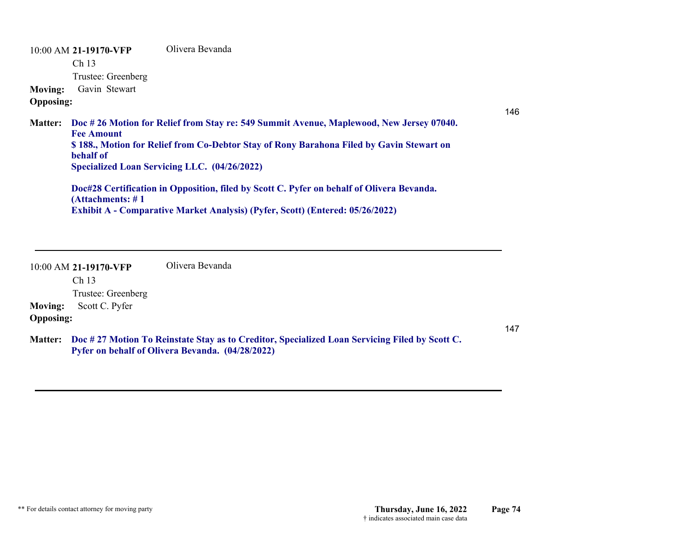10:00 AM **21-19170-VFP**  Ch 13 Trustee: Greenberg Olivera Bevanda**Moving:** Gavin Stewart **Opposing: Doc # 26 Motion for Relief from Stay re: 549 Summit Avenue, Maplewood, New Jersey 07040. Matter: Fee Amount \$ 188., Motion for Relief from Co-Debtor Stay of Rony Barahona Filed by Gavin Stewart on behalf of Specialized Loan Servicing LLC. (04/26/2022) Doc#28 Certification in Opposition, filed by Scott C. Pyfer on behalf of Olivera Bevanda. (Attachments: # 1 Exhibit A - Comparative Market Analysis) (Pyfer, Scott) (Entered: 05/26/2022)**

10:00 AM **21-19170-VFP**  Ch 13 Trustee: Greenberg Olivera Bevanda**Moving:** Scott C. Pyfer **Opposing:**

147

146

**Doc # 27 Motion To Reinstate Stay as to Creditor, Specialized Loan Servicing Filed by Scott C. Matter: Pyfer on behalf of Olivera Bevanda. (04/28/2022)**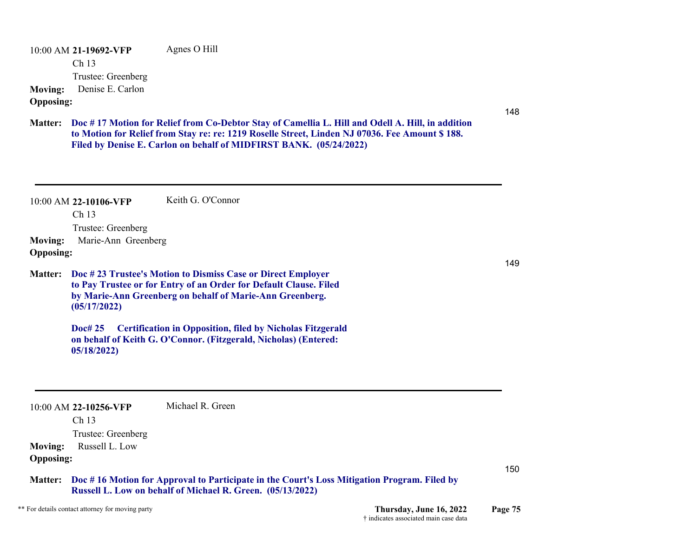10:00 AM **21-19692-VFP**  Ch 13 Trustee: Greenberg Agnes O Hill **Moving:** Denise E. Carlon **Opposing:**

148

**Doc # 17 Motion for Relief from Co-Debtor Stay of Camellia L. Hill and Odell A. Hill, in addition Matter: to Motion for Relief from Stay re: re: 1219 Roselle Street, Linden NJ 07036. Fee Amount \$ 188. Filed by Denise E. Carlon on behalf of MIDFIRST BANK. (05/24/2022)**

10:00 AM **22-10106-VFP**  Ch 13 Trustee: Greenberg Keith G. O'Connor**Moving:** Marie-Ann Greenberg **Opposing: Doc # 23 Trustee's Motion to Dismiss Case or Direct Employer Matter: to Pay Trustee or for Entry of an Order for Default Clause. Filed by Marie-Ann Greenberg on behalf of Marie-Ann Greenberg. (05/17/2022) Doc# 25 Certification in Opposition, filed by Nicholas Fitzgerald on behalf of Keith G. O'Connor. (Fitzgerald, Nicholas) (Entered: 05/18/2022)** 10:00 AM **22-10256-VFP**  Ch 13 Trustee: Greenberg Michael R. Green**Moving:** Russell L. Low **Opposing:** 150**Doc # 16 Motion for Approval to Participate in the Court's Loss Mitigation Program. Filed by Matter: Russell L. Low on behalf of Michael R. Green. (05/13/2022)** \*\* For details contact attorney for moving party **Thursday, June 16, 2022 Page 75**

149

† indicates associated main case data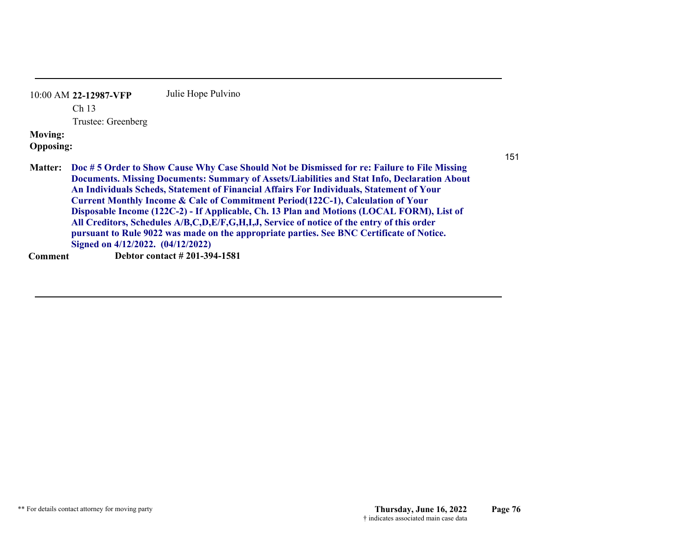| $10:00$ AM 22-12987-VFP | Julie Hope Pulvino |
|-------------------------|--------------------|
| Ch <sub>13</sub>        |                    |
| Trustee: Greenberg      |                    |
| <b>Moving:</b>          |                    |
| <b>Opposing:</b>        |                    |
|                         |                    |

**Doc # 5 Order to Show Cause Why Case Should Not be Dismissed for re: Failure to File Missing Matter: Documents. Missing Documents: Summary of Assets/Liabilities and Stat Info, Declaration About An Individuals Scheds, Statement of Financial Affairs For Individuals, Statement of Your Current Monthly Income & Calc of Commitment Period(122C-1), Calculation of Your Disposable Income (122C-2) - If Applicable, Ch. 13 Plan and Motions (LOCAL FORM), List of All Creditors, Schedules A/B,C,D,E/F,G,H,I,J, Service of notice of the entry of this order pursuant to Rule 9022 was made on the appropriate parties. See BNC Certificate of Notice. Signed on 4/12/2022. (04/12/2022) Comment Debtor contact # 201-394-1581**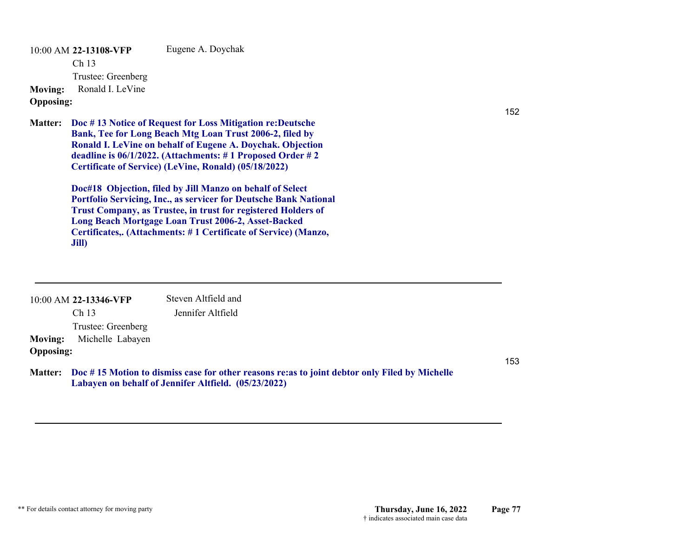10:00 AM **22-13108-VFP**  Ch 13 Trustee: Greenberg Eugene A. Doychak **Moving:** Ronald I. LeVine **Opposing:**

**Doc # 13 Notice of Request for Loss Mitigation re:Deutsche Matter: Bank, Tee for Long Beach Mtg Loan Trust 2006-2, filed by Ronald I. LeVine on behalf of Eugene A. Doychak. Objection deadline is 06/1/2022. (Attachments: # 1 Proposed Order # 2 Certificate of Service) (LeVine, Ronald) (05/18/2022)**

> **Doc#18 Objection, filed by Jill Manzo on behalf of Select Portfolio Servicing, Inc., as servicer for Deutsche Bank National Trust Company, as Trustee, in trust for registered Holders of Long Beach Mortgage Loan Trust 2006-2, Asset-Backed Certificates,. (Attachments: # 1 Certificate of Service) (Manzo, Jill)**

|                  | 10:00 AM 22-13346-VFP | Steven Altfield and                                                                                                                                            |
|------------------|-----------------------|----------------------------------------------------------------------------------------------------------------------------------------------------------------|
|                  | Ch <sub>13</sub>      | Jennifer Altfield                                                                                                                                              |
|                  | Trustee: Greenberg    |                                                                                                                                                                |
| <b>Moving:</b>   | Michelle Labayen      |                                                                                                                                                                |
| <b>Opposing:</b> |                       |                                                                                                                                                                |
|                  |                       | Matter: Doc #15 Motion to dismiss case for other reasons re: as to joint debtor only Filed by Michelle<br>Labayen on behalf of Jennifer Altfield. (05/23/2022) |

153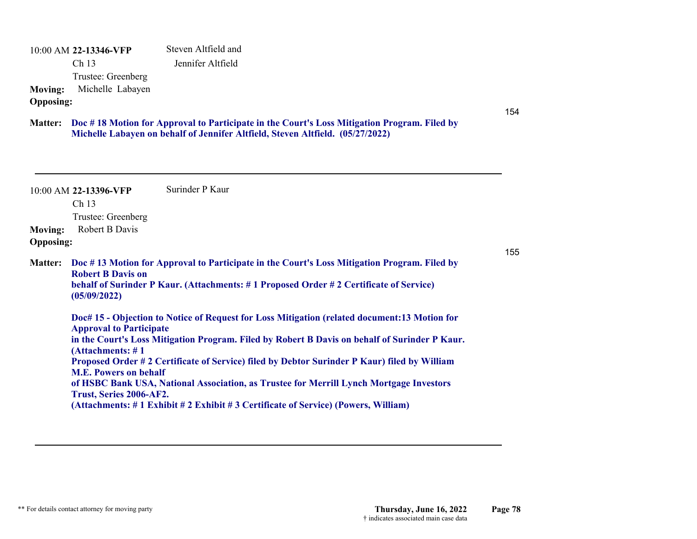10:00 AM **22-13346-VFP**  Ch 13 Trustee: Greenberg Steven Altfield and Jennifer Altfield **Moving:** Michelle Labayen **Opposing:**

**Doc # 18 Motion for Approval to Participate in the Court's Loss Mitigation Program. Filed by Matter: Michelle Labayen on behalf of Jennifer Altfield, Steven Altfield. (05/27/2022)**

10:00 AM **22-13396-VFP**  Ch 13 Trustee: Greenberg Surinder P Kaur**Moving:** Robert B Davis **Opposing:** 155**Doc # 13 Motion for Approval to Participate in the Court's Loss Mitigation Program. Filed by Matter: Robert B Davis on behalf of Surinder P Kaur. (Attachments: # 1 Proposed Order # 2 Certificate of Service) (05/09/2022) Doc# 15 - Objection to Notice of Request for Loss Mitigation (related document:13 Motion for Approval to Participate in the Court's Loss Mitigation Program. Filed by Robert B Davis on behalf of Surinder P Kaur. (Attachments: # 1 Proposed Order # 2 Certificate of Service) filed by Debtor Surinder P Kaur) filed by William M.E. Powers on behalf of HSBC Bank USA, National Association, as Trustee for Merrill Lynch Mortgage Investors Trust, Series 2006-AF2. (Attachments: # 1 Exhibit # 2 Exhibit # 3 Certificate of Service) (Powers, William)**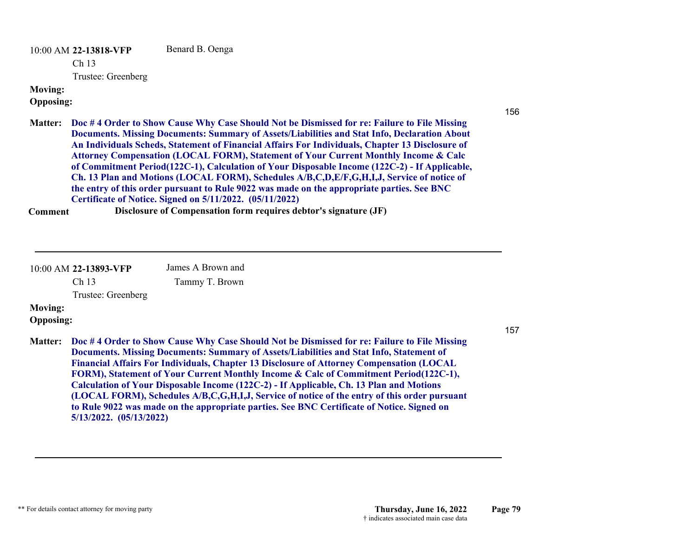10:00 AM **22-13818-VFP**  Ch 13 Trustee: Greenberg Benard B. Oenga **Moving:**

**Opposing:**

**Doc # 4 Order to Show Cause Why Case Should Not be Dismissed for re: Failure to File Missing Matter: Documents. Missing Documents: Summary of Assets/Liabilities and Stat Info, Declaration About An Individuals Scheds, Statement of Financial Affairs For Individuals, Chapter 13 Disclosure of Attorney Compensation (LOCAL FORM), Statement of Your Current Monthly Income & Calc of Commitment Period(122C-1), Calculation of Your Disposable Income (122C-2) - If Applicable, Ch. 13 Plan and Motions (LOCAL FORM), Schedules A/B,C,D,E/F,G,H,I,J, Service of notice of the entry of this order pursuant to Rule 9022 was made on the appropriate parties. See BNC Certificate of Notice. Signed on 5/11/2022. (05/11/2022)**

**Comment Disclosure of Compensation form requires debtor's signature (JF)**

10:00 AM **22-13893-VFP**  James A Brown and

Ch 13

Tammy T. Brown

Trustee: Greenberg

# **Moving:**

**Opposing:**

157

156

**Doc # 4 Order to Show Cause Why Case Should Not be Dismissed for re: Failure to File Missing Matter:Documents. Missing Documents: Summary of Assets/Liabilities and Stat Info, Statement of Financial Affairs For Individuals, Chapter 13 Disclosure of Attorney Compensation (LOCAL FORM), Statement of Your Current Monthly Income & Calc of Commitment Period(122C-1), Calculation of Your Disposable Income (122C-2) - If Applicable, Ch. 13 Plan and Motions (LOCAL FORM), Schedules A/B,C,G,H,I,J, Service of notice of the entry of this order pursuant to Rule 9022 was made on the appropriate parties. See BNC Certificate of Notice. Signed on 5/13/2022. (05/13/2022)**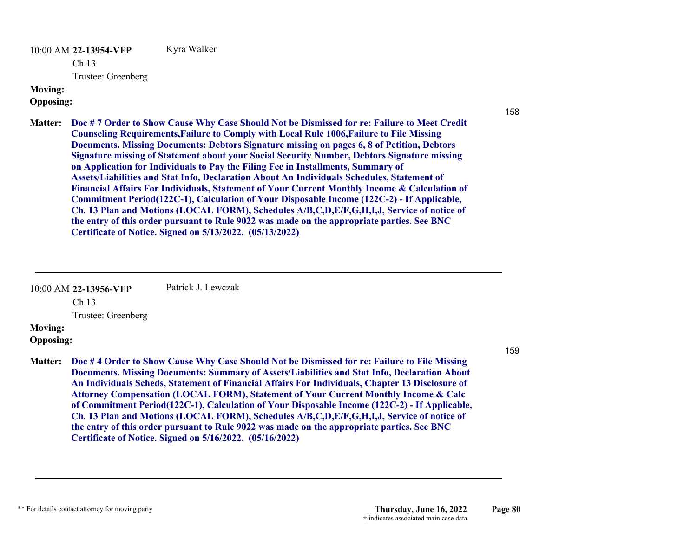10:00 AM **22-13954-VFP**  Ch 13 Trustee: Greenberg Kyra Walker **Moving:**

#### **Opposing:**

**Doc # 7 Order to Show Cause Why Case Should Not be Dismissed for re: Failure to Meet Credit Matter:Counseling Requirements,Failure to Comply with Local Rule 1006,Failure to File Missing Documents. Missing Documents: Debtors Signature missing on pages 6, 8 of Petition, Debtors Signature missing of Statement about your Social Security Number, Debtors Signature missing on Application for Individuals to Pay the Filing Fee in Installments, Summary of Assets/Liabilities and Stat Info, Declaration About An Individuals Schedules, Statement of Financial Affairs For Individuals, Statement of Your Current Monthly Income & Calculation of Commitment Period(122C-1), Calculation of Your Disposable Income (122C-2) - If Applicable, Ch. 13 Plan and Motions (LOCAL FORM), Schedules A/B,C,D,E/F,G,H,I,J, Service of notice of the entry of this order pursuant to Rule 9022 was made on the appropriate parties. See BNC Certificate of Notice. Signed on 5/13/2022. (05/13/2022)**

10:00 AM **22-13956-VFP**  Patrick J. Lewczak

Ch 13

Trustee: Greenberg

# **Moving:**

#### **Opposing:**

**Doc # 4 Order to Show Cause Why Case Should Not be Dismissed for re: Failure to File Missing Matter: Documents. Missing Documents: Summary of Assets/Liabilities and Stat Info, Declaration About An Individuals Scheds, Statement of Financial Affairs For Individuals, Chapter 13 Disclosure of Attorney Compensation (LOCAL FORM), Statement of Your Current Monthly Income & Calc of Commitment Period(122C-1), Calculation of Your Disposable Income (122C-2) - If Applicable, Ch. 13 Plan and Motions (LOCAL FORM), Schedules A/B,C,D,E/F,G,H,I,J, Service of notice of the entry of this order pursuant to Rule 9022 was made on the appropriate parties. See BNC Certificate of Notice. Signed on 5/16/2022. (05/16/2022)**

159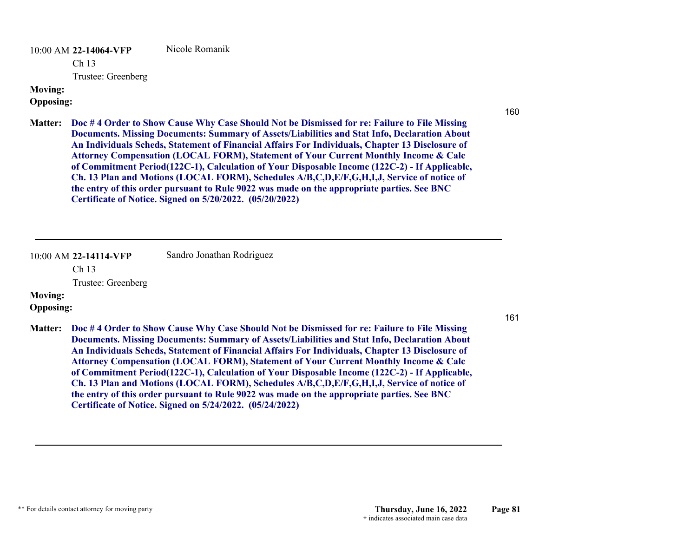10:00 AM **22-14064-VFP**  Nicole Romanik

Ch 13

Trustee: Greenberg

# **Moving:**

# **Opposing:**

160

161

**Doc # 4 Order to Show Cause Why Case Should Not be Dismissed for re: Failure to File Missing Matter: Documents. Missing Documents: Summary of Assets/Liabilities and Stat Info, Declaration About An Individuals Scheds, Statement of Financial Affairs For Individuals, Chapter 13 Disclosure of Attorney Compensation (LOCAL FORM), Statement of Your Current Monthly Income & Calc of Commitment Period(122C-1), Calculation of Your Disposable Income (122C-2) - If Applicable, Ch. 13 Plan and Motions (LOCAL FORM), Schedules A/B,C,D,E/F,G,H,I,J, Service of notice of the entry of this order pursuant to Rule 9022 was made on the appropriate parties. See BNC Certificate of Notice. Signed on 5/20/2022. (05/20/2022)**

|                  | 10:00 AM 22-14114-VFP | Sandro Jonathan Rodriguez                                                                                                                                                                                                                                                                                                                                                                                                                                                                                                                                                                                                                                                         |
|------------------|-----------------------|-----------------------------------------------------------------------------------------------------------------------------------------------------------------------------------------------------------------------------------------------------------------------------------------------------------------------------------------------------------------------------------------------------------------------------------------------------------------------------------------------------------------------------------------------------------------------------------------------------------------------------------------------------------------------------------|
|                  | Ch <sub>13</sub>      |                                                                                                                                                                                                                                                                                                                                                                                                                                                                                                                                                                                                                                                                                   |
|                  | Trustee: Greenberg    |                                                                                                                                                                                                                                                                                                                                                                                                                                                                                                                                                                                                                                                                                   |
| <b>Moving:</b>   |                       |                                                                                                                                                                                                                                                                                                                                                                                                                                                                                                                                                                                                                                                                                   |
| <b>Opposing:</b> |                       |                                                                                                                                                                                                                                                                                                                                                                                                                                                                                                                                                                                                                                                                                   |
| <b>Matter:</b>   |                       | Doc #4 Order to Show Cause Why Case Should Not be Dismissed for re: Failure to File Missing<br>Documents. Missing Documents: Summary of Assets/Liabilities and Stat Info, Declaration About<br>An Individuals Scheds, Statement of Financial Affairs For Individuals, Chapter 13 Disclosure of<br>Attorney Compensation (LOCAL FORM), Statement of Your Current Monthly Income & Calc<br>of Commitment Period(122C-1), Calculation of Your Disposable Income (122C-2) - If Applicable,<br>Ch. 13 Plan and Motions (LOCAL FORM), Schedules A/B,C,D,E/F,G,H,I,J, Service of notice of<br>the entry of this order pursuant to Rule 9022 was made on the appropriate parties. See BNC |

**Certificate of Notice. Signed on 5/24/2022. (05/24/2022)**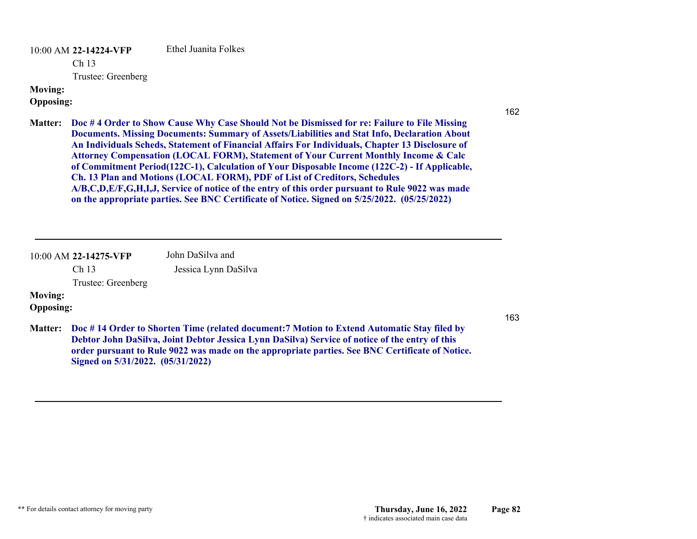10:00 AM **22-14224-VFP**  Ethel Juanita Folkes

Ch 13

Trustee: Greenberg

# **Moving:**

**Opposing:**

- 162
- **Doc # 4 Order to Show Cause Why Case Should Not be Dismissed for re: Failure to File Missing Matter: Documents. Missing Documents: Summary of Assets/Liabilities and Stat Info, Declaration About An Individuals Scheds, Statement of Financial Affairs For Individuals, Chapter 13 Disclosure of Attorney Compensation (LOCAL FORM), Statement of Your Current Monthly Income & Calc of Commitment Period(122C-1), Calculation of Your Disposable Income (122C-2) - If Applicable, Ch. 13 Plan and Motions (LOCAL FORM), PDF of List of Creditors, Schedules A/B,C,D,E/F,G,H,I,J, Service of notice of the entry of this order pursuant to Rule 9022 was made on the appropriate parties. See BNC Certificate of Notice. Signed on 5/25/2022. (05/25/2022)**

10:00 AM **22-14275-VFP**  Ch 13 Trustee: Greenberg John DaSilva and Jessica Lynn DaSilva **Moving:**

**Opposing:**

- 163
- **Doc # 14 Order to Shorten Time (related document:7 Motion to Extend Automatic Stay filed by Matter: Debtor John DaSilva, Joint Debtor Jessica Lynn DaSilva) Service of notice of the entry of this order pursuant to Rule 9022 was made on the appropriate parties. See BNC Certificate of Notice. Signed on 5/31/2022. (05/31/2022)**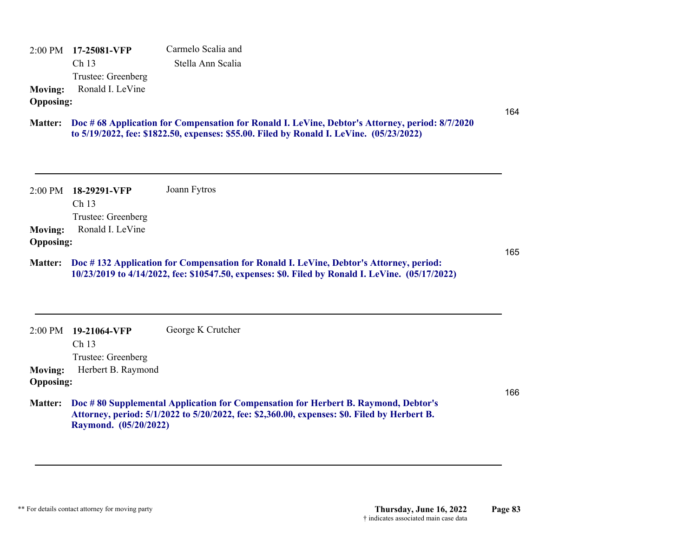2:00 PM **17-25081-VFP**  Ch 13 Trustee: Greenberg Carmelo Scalia and Stella Ann Scalia **Moving:** Ronald I. LeVine **Opposing:**

## **Doc # 68 Application for Compensation for Ronald I. LeVine, Debtor's Attorney, period: 8/7/2020 Matter: to 5/19/2022, fee: \$1822.50, expenses: \$55.00. Filed by Ronald I. LeVine. (05/23/2022)**

|                  | 2:00 PM 18-29291-VFP | Joann Fytros |
|------------------|----------------------|--------------|
|                  | Ch <sub>13</sub>     |              |
|                  | Trustee: Greenberg   |              |
| <b>Moving:</b>   | Ronald I. LeVine     |              |
| <b>Opposing:</b> |                      |              |

## **Doc # 132 Application for Compensation for Ronald I. LeVine, Debtor's Attorney, period: Matter: 10/23/2019 to 4/14/2022, fee: \$10547.50, expenses: \$0. Filed by Ronald I. LeVine. (05/17/2022)**

| $2:00 \text{ PM}$ | 19-21064-VFP       | George K Crutcher                                                                                                                                                                          |
|-------------------|--------------------|--------------------------------------------------------------------------------------------------------------------------------------------------------------------------------------------|
|                   | Ch <sub>13</sub>   |                                                                                                                                                                                            |
|                   | Trustee: Greenberg |                                                                                                                                                                                            |
| <b>Moving:</b>    | Herbert B. Raymond |                                                                                                                                                                                            |
| <b>Opposing:</b>  |                    |                                                                                                                                                                                            |
|                   |                    | Matter: Doc #80 Supplemental Application for Compensation for Herbert B. Raymond, Debtor's<br>Attorney, period: 5/1/2022 to 5/20/2022, fee: \$2,360.00, expenses: \$0. Filed by Herbert B. |

166

164

165

**Raymond. (05/20/2022)**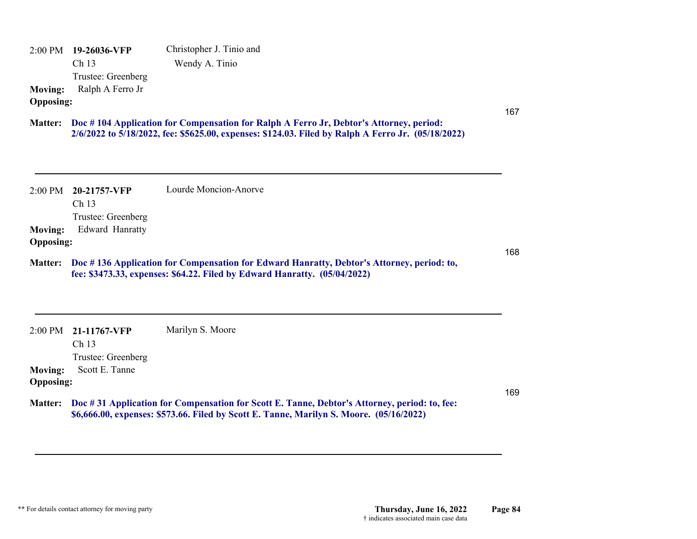2:00 PM **19-26036-VFP**  Ch 13 Trustee: Greenberg Christopher J. Tinio and Wendy A. Tinio **Moving:** Ralph A Ferro Jr **Opposing:**

## **Doc # 104 Application for Compensation for Ralph A Ferro Jr, Debtor's Attorney, period: Matter: 2/6/2022 to 5/18/2022, fee: \$5625.00, expenses: \$124.03. Filed by Ralph A Ferro Jr. (05/18/2022)**

|                  |                        | Lourde Moncion-Anorve |     |
|------------------|------------------------|-----------------------|-----|
|                  | 2:00 PM 20-21757-VFP   |                       |     |
|                  | Ch <sub>13</sub>       |                       |     |
|                  | Trustee: Greenberg     |                       |     |
| <b>Moving:</b>   | <b>Edward Hanratty</b> |                       |     |
| <b>Opposing:</b> |                        |                       |     |
|                  |                        |                       | 168 |

### **Doc # 136 Application for Compensation for Edward Hanratty, Debtor's Attorney, period: to, Matter: fee: \$3473.33, expenses: \$64.22. Filed by Edward Hanratty. (05/04/2022)**

2:00 PM **21-11767-VFP**  Ch 13 Trustee: Greenberg Marilyn S. Moore **Moving:** Scott E. Tanne **Opposing:**

# **Doc # 31 Application for Compensation for Scott E. Tanne, Debtor's Attorney, period: to, fee: Matter: \$6,666.00, expenses: \$573.66. Filed by Scott E. Tanne, Marilyn S. Moore. (05/16/2022)**

169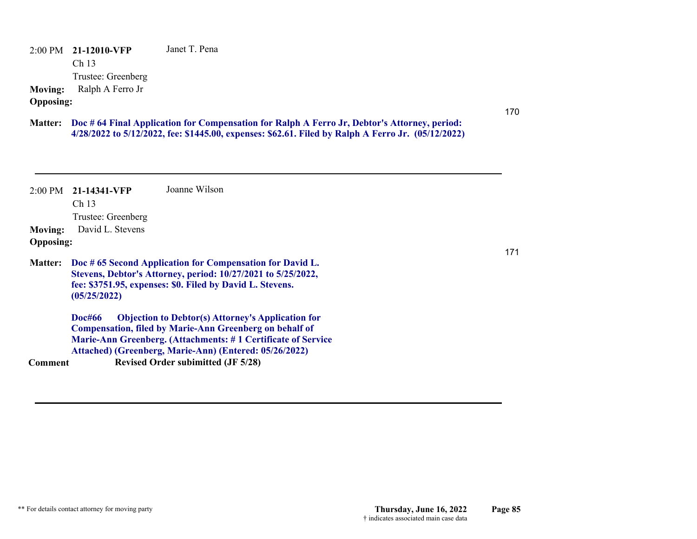2:00 PM **21-12010-VFP**  Ch 13 Trustee: Greenberg Janet T. Pena **Moving:** Ralph A Ferro Jr **Opposing:**

**Doc # 64 Final Application for Compensation for Ralph A Ferro Jr, Debtor's Attorney, period: Matter: 4/28/2022 to 5/12/2022, fee: \$1445.00, expenses: \$62.61. Filed by Ralph A Ferro Jr. (05/12/2022)**

|                  | $2:00 \text{ PM}$ 21-14341-VFP                                                                                                                                                                        | Joanne Wilson                                                                                                              |  |
|------------------|-------------------------------------------------------------------------------------------------------------------------------------------------------------------------------------------------------|----------------------------------------------------------------------------------------------------------------------------|--|
|                  | Ch <sub>13</sub>                                                                                                                                                                                      |                                                                                                                            |  |
|                  | Trustee: Greenberg                                                                                                                                                                                    |                                                                                                                            |  |
| <b>Moving:</b>   | David L. Stevens                                                                                                                                                                                      |                                                                                                                            |  |
| <b>Opposing:</b> |                                                                                                                                                                                                       |                                                                                                                            |  |
| <b>Matter:</b>   | Doc #65 Second Application for Compensation for David L.<br>Stevens, Debtor's Attorney, period: 10/27/2021 to 5/25/2022,<br>fee: \$3751.95, expenses: \$0. Filed by David L. Stevens.<br>(05/25/2022) |                                                                                                                            |  |
|                  | <b>Doc#66</b>                                                                                                                                                                                         | <b>Objection to Debtor(s) Attorney's Application for</b><br><b>Compensation, filed by Marie-Ann Greenberg on behalf of</b> |  |
|                  |                                                                                                                                                                                                       | Marie-Ann Greenberg. (Attachments: #1 Certificate of Service                                                               |  |
|                  |                                                                                                                                                                                                       | Attached) (Greenberg, Marie-Ann) (Entered: 05/26/2022)                                                                     |  |
| Comment          |                                                                                                                                                                                                       | <b>Revised Order subimitted (JF 5/28)</b>                                                                                  |  |

170